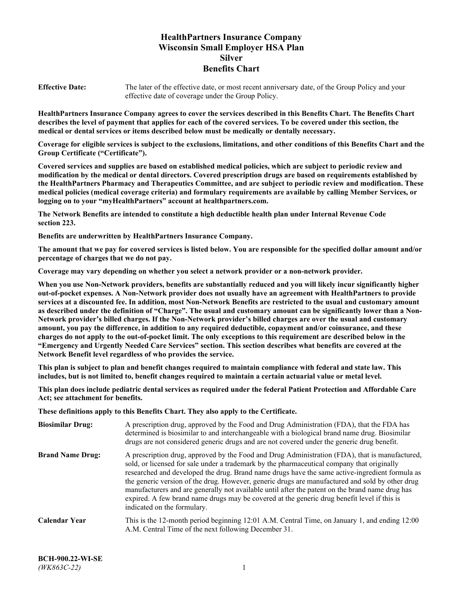# **HealthPartners Insurance Company Wisconsin Small Employer HSA Plan Silver Benefits Chart**

**Effective Date:** The later of the effective date, or most recent anniversary date, of the Group Policy and your effective date of coverage under the Group Policy.

**HealthPartners Insurance Company agrees to cover the services described in this Benefits Chart. The Benefits Chart describes the level of payment that applies for each of the covered services. To be covered under this section, the medical or dental services or items described below must be medically or dentally necessary.**

**Coverage for eligible services is subject to the exclusions, limitations, and other conditions of this Benefits Chart and the Group Certificate ("Certificate").**

**Covered services and supplies are based on established medical policies, which are subject to periodic review and modification by the medical or dental directors. Covered prescription drugs are based on requirements established by the HealthPartners Pharmacy and Therapeutics Committee, and are subject to periodic review and modification. These medical policies (medical coverage criteria) and formulary requirements are available by calling Member Services, or logging on to your "myHealthPartners" account at [healthpartners.com.](https://www.healthpartners.com/hp/index.html)**

**The Network Benefits are intended to constitute a high deductible health plan under Internal Revenue Code section 223.**

**Benefits are underwritten by HealthPartners Insurance Company.**

**The amount that we pay for covered services is listed below. You are responsible for the specified dollar amount and/or percentage of charges that we do not pay.**

**Coverage may vary depending on whether you select a network provider or a non-network provider.**

**When you use Non-Network providers, benefits are substantially reduced and you will likely incur significantly higher out-of-pocket expenses. A Non-Network provider does not usually have an agreement with HealthPartners to provide services at a discounted fee. In addition, most Non-Network Benefits are restricted to the usual and customary amount as described under the definition of "Charge". The usual and customary amount can be significantly lower than a Non-Network provider's billed charges. If the Non-Network provider's billed charges are over the usual and customary amount, you pay the difference, in addition to any required deductible, copayment and/or coinsurance, and these charges do not apply to the out-of-pocket limit. The only exceptions to this requirement are described below in the "Emergency and Urgently Needed Care Services" section. This section describes what benefits are covered at the Network Benefit level regardless of who provides the service.**

**This plan is subject to plan and benefit changes required to maintain compliance with federal and state law. This includes, but is not limited to, benefit changes required to maintain a certain actuarial value or metal level.**

**This plan does include pediatric dental services as required under the federal Patient Protection and Affordable Care Act; see attachment for benefits.**

**These definitions apply to this Benefits Chart. They also apply to the Certificate.**

| <b>Biosimilar Drug:</b> | A prescription drug, approved by the Food and Drug Administration (FDA), that the FDA has<br>determined is biosimilar to and interchangeable with a biological brand name drug. Biosimilar<br>drugs are not considered generic drugs and are not covered under the generic drug benefit.                                                                                                                                                                                                                                                                                                                                           |
|-------------------------|------------------------------------------------------------------------------------------------------------------------------------------------------------------------------------------------------------------------------------------------------------------------------------------------------------------------------------------------------------------------------------------------------------------------------------------------------------------------------------------------------------------------------------------------------------------------------------------------------------------------------------|
| <b>Brand Name Drug:</b> | A prescription drug, approved by the Food and Drug Administration (FDA), that is manufactured,<br>sold, or licensed for sale under a trademark by the pharmaceutical company that originally<br>researched and developed the drug. Brand name drugs have the same active-ingredient formula as<br>the generic version of the drug. However, generic drugs are manufactured and sold by other drug<br>manufacturers and are generally not available until after the patent on the brand name drug has<br>expired. A few brand name drugs may be covered at the generic drug benefit level if this is<br>indicated on the formulary. |
| <b>Calendar Year</b>    | This is the 12-month period beginning 12:01 A.M. Central Time, on January 1, and ending 12:00<br>A.M. Central Time of the next following December 31.                                                                                                                                                                                                                                                                                                                                                                                                                                                                              |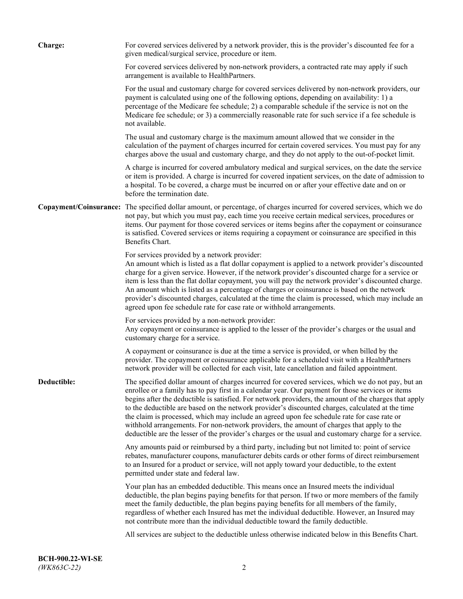| <b>Charge:</b> | For covered services delivered by a network provider, this is the provider's discounted fee for a<br>given medical/surgical service, procedure or item.                                                                                                                                                                                                                                                                                                                                                                                                                                                                                                                                                                 |
|----------------|-------------------------------------------------------------------------------------------------------------------------------------------------------------------------------------------------------------------------------------------------------------------------------------------------------------------------------------------------------------------------------------------------------------------------------------------------------------------------------------------------------------------------------------------------------------------------------------------------------------------------------------------------------------------------------------------------------------------------|
|                | For covered services delivered by non-network providers, a contracted rate may apply if such<br>arrangement is available to HealthPartners.                                                                                                                                                                                                                                                                                                                                                                                                                                                                                                                                                                             |
|                | For the usual and customary charge for covered services delivered by non-network providers, our<br>payment is calculated using one of the following options, depending on availability: 1) a<br>percentage of the Medicare fee schedule; 2) a comparable schedule if the service is not on the<br>Medicare fee schedule; or 3) a commercially reasonable rate for such service if a fee schedule is<br>not available.                                                                                                                                                                                                                                                                                                   |
|                | The usual and customary charge is the maximum amount allowed that we consider in the<br>calculation of the payment of charges incurred for certain covered services. You must pay for any<br>charges above the usual and customary charge, and they do not apply to the out-of-pocket limit.                                                                                                                                                                                                                                                                                                                                                                                                                            |
|                | A charge is incurred for covered ambulatory medical and surgical services, on the date the service<br>or item is provided. A charge is incurred for covered inpatient services, on the date of admission to<br>a hospital. To be covered, a charge must be incurred on or after your effective date and on or<br>before the termination date.                                                                                                                                                                                                                                                                                                                                                                           |
|                | Copayment/Coinsurance: The specified dollar amount, or percentage, of charges incurred for covered services, which we do<br>not pay, but which you must pay, each time you receive certain medical services, procedures or<br>items. Our payment for those covered services or items begins after the copayment or coinsurance<br>is satisfied. Covered services or items requiring a copayment or coinsurance are specified in this<br>Benefits Chart.                                                                                                                                                                                                                                                                 |
|                | For services provided by a network provider:<br>An amount which is listed as a flat dollar copayment is applied to a network provider's discounted<br>charge for a given service. However, if the network provider's discounted charge for a service or<br>item is less than the flat dollar copayment, you will pay the network provider's discounted charge.<br>An amount which is listed as a percentage of charges or coinsurance is based on the network<br>provider's discounted charges, calculated at the time the claim is processed, which may include an<br>agreed upon fee schedule rate for case rate or withhold arrangements.                                                                            |
|                | For services provided by a non-network provider:<br>Any copayment or coinsurance is applied to the lesser of the provider's charges or the usual and<br>customary charge for a service.                                                                                                                                                                                                                                                                                                                                                                                                                                                                                                                                 |
|                | A copayment or coinsurance is due at the time a service is provided, or when billed by the<br>provider. The copayment or coinsurance applicable for a scheduled visit with a HealthPartners<br>network provider will be collected for each visit, late cancellation and failed appointment.                                                                                                                                                                                                                                                                                                                                                                                                                             |
| Deductible:    | The specified dollar amount of charges incurred for covered services, which we do not pay, but an<br>enrollee or a family has to pay first in a calendar year. Our payment for those services or items<br>begins after the deductible is satisfied. For network providers, the amount of the charges that apply<br>to the deductible are based on the network provider's discounted charges, calculated at the time<br>the claim is processed, which may include an agreed upon fee schedule rate for case rate or<br>withhold arrangements. For non-network providers, the amount of charges that apply to the<br>deductible are the lesser of the provider's charges or the usual and customary charge for a service. |
|                | Any amounts paid or reimbursed by a third party, including but not limited to: point of service<br>rebates, manufacturer coupons, manufacturer debits cards or other forms of direct reimbursement<br>to an Insured for a product or service, will not apply toward your deductible, to the extent<br>permitted under state and federal law.                                                                                                                                                                                                                                                                                                                                                                            |
|                | Your plan has an embedded deductible. This means once an Insured meets the individual<br>deductible, the plan begins paying benefits for that person. If two or more members of the family<br>meet the family deductible, the plan begins paying benefits for all members of the family,<br>regardless of whether each Insured has met the individual deductible. However, an Insured may<br>not contribute more than the individual deductible toward the family deductible.                                                                                                                                                                                                                                           |
|                | All services are subject to the deductible unless otherwise indicated below in this Benefits Chart.                                                                                                                                                                                                                                                                                                                                                                                                                                                                                                                                                                                                                     |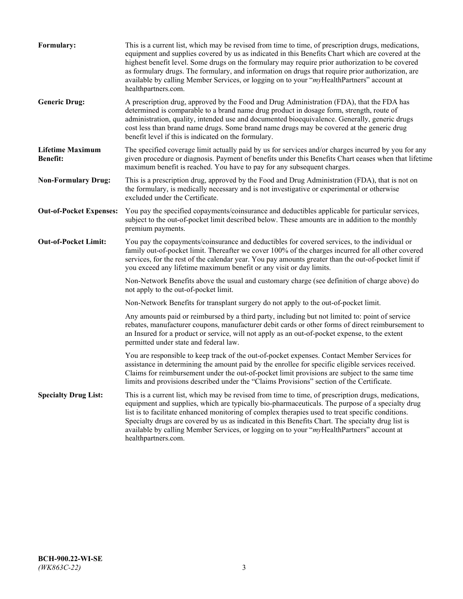| Formulary:                                 | This is a current list, which may be revised from time to time, of prescription drugs, medications,<br>equipment and supplies covered by us as indicated in this Benefits Chart which are covered at the<br>highest benefit level. Some drugs on the formulary may require prior authorization to be covered<br>as formulary drugs. The formulary, and information on drugs that require prior authorization, are<br>available by calling Member Services, or logging on to your "myHealthPartners" account at<br>healthpartners.com. |
|--------------------------------------------|---------------------------------------------------------------------------------------------------------------------------------------------------------------------------------------------------------------------------------------------------------------------------------------------------------------------------------------------------------------------------------------------------------------------------------------------------------------------------------------------------------------------------------------|
| <b>Generic Drug:</b>                       | A prescription drug, approved by the Food and Drug Administration (FDA), that the FDA has<br>determined is comparable to a brand name drug product in dosage form, strength, route of<br>administration, quality, intended use and documented bioequivalence. Generally, generic drugs<br>cost less than brand name drugs. Some brand name drugs may be covered at the generic drug<br>benefit level if this is indicated on the formulary.                                                                                           |
| <b>Lifetime Maximum</b><br><b>Benefit:</b> | The specified coverage limit actually paid by us for services and/or charges incurred by you for any<br>given procedure or diagnosis. Payment of benefits under this Benefits Chart ceases when that lifetime<br>maximum benefit is reached. You have to pay for any subsequent charges.                                                                                                                                                                                                                                              |
| <b>Non-Formulary Drug:</b>                 | This is a prescription drug, approved by the Food and Drug Administration (FDA), that is not on<br>the formulary, is medically necessary and is not investigative or experimental or otherwise<br>excluded under the Certificate.                                                                                                                                                                                                                                                                                                     |
| <b>Out-of-Pocket Expenses:</b>             | You pay the specified copayments/coinsurance and deductibles applicable for particular services,<br>subject to the out-of-pocket limit described below. These amounts are in addition to the monthly<br>premium payments.                                                                                                                                                                                                                                                                                                             |
| <b>Out-of-Pocket Limit:</b>                | You pay the copayments/coinsurance and deductibles for covered services, to the individual or<br>family out-of-pocket limit. Thereafter we cover 100% of the charges incurred for all other covered<br>services, for the rest of the calendar year. You pay amounts greater than the out-of-pocket limit if<br>you exceed any lifetime maximum benefit or any visit or day limits.                                                                                                                                                    |
|                                            | Non-Network Benefits above the usual and customary charge (see definition of charge above) do<br>not apply to the out-of-pocket limit.                                                                                                                                                                                                                                                                                                                                                                                                |
|                                            | Non-Network Benefits for transplant surgery do not apply to the out-of-pocket limit.                                                                                                                                                                                                                                                                                                                                                                                                                                                  |
|                                            | Any amounts paid or reimbursed by a third party, including but not limited to: point of service<br>rebates, manufacturer coupons, manufacturer debit cards or other forms of direct reimbursement to<br>an Insured for a product or service, will not apply as an out-of-pocket expense, to the extent<br>permitted under state and federal law.                                                                                                                                                                                      |
|                                            | You are responsible to keep track of the out-of-pocket expenses. Contact Member Services for<br>assistance in determining the amount paid by the enrollee for specific eligible services received.<br>Claims for reimbursement under the out-of-pocket limit provisions are subject to the same time<br>limits and provisions described under the "Claims Provisions" section of the Certificate.                                                                                                                                     |
| <b>Specialty Drug List:</b>                | This is a current list, which may be revised from time to time, of prescription drugs, medications,<br>equipment and supplies, which are typically bio-pharmaceuticals. The purpose of a specialty drug<br>list is to facilitate enhanced monitoring of complex therapies used to treat specific conditions.<br>Specialty drugs are covered by us as indicated in this Benefits Chart. The specialty drug list is<br>available by calling Member Services, or logging on to your "myHealthPartners" account at<br>healthpartners.com. |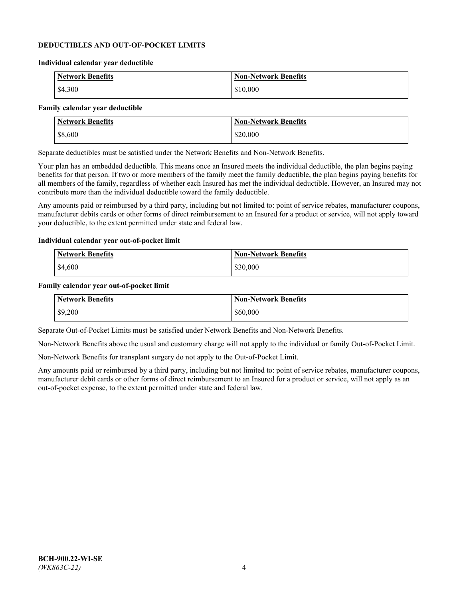### **DEDUCTIBLES AND OUT-OF-POCKET LIMITS**

#### **Individual calendar year deductible**

| <b>Network Benefits</b> | <b>Non-Network Benefits</b> |
|-------------------------|-----------------------------|
| \$4,300                 | \$10,000                    |

#### **Family calendar year deductible**

| <b>Network Benefits</b> | <b>Non-Network Benefits</b> |
|-------------------------|-----------------------------|
| \$8,600                 | \$20,000                    |

Separate deductibles must be satisfied under the Network Benefits and Non-Network Benefits.

Your plan has an embedded deductible. This means once an Insured meets the individual deductible, the plan begins paying benefits for that person. If two or more members of the family meet the family deductible, the plan begins paying benefits for all members of the family, regardless of whether each Insured has met the individual deductible. However, an Insured may not contribute more than the individual deductible toward the family deductible.

Any amounts paid or reimbursed by a third party, including but not limited to: point of service rebates, manufacturer coupons, manufacturer debits cards or other forms of direct reimbursement to an Insured for a product or service, will not apply toward your deductible, to the extent permitted under state and federal law.

#### **Individual calendar year out-of-pocket limit**

| Network Benefits | <b>Non-Network Benefits</b> |
|------------------|-----------------------------|
| \$4,600          | \$30,000                    |

#### **Family calendar year out-of-pocket limit**

| <b>Network Benefits</b> | <b>Non-Network Benefits</b> |
|-------------------------|-----------------------------|
| \$9,200                 | \$60,000                    |

Separate Out-of-Pocket Limits must be satisfied under Network Benefits and Non-Network Benefits.

Non-Network Benefits above the usual and customary charge will not apply to the individual or family Out-of-Pocket Limit.

Non-Network Benefits for transplant surgery do not apply to the Out-of-Pocket Limit.

Any amounts paid or reimbursed by a third party, including but not limited to: point of service rebates, manufacturer coupons, manufacturer debit cards or other forms of direct reimbursement to an Insured for a product or service, will not apply as an out-of-pocket expense, to the extent permitted under state and federal law.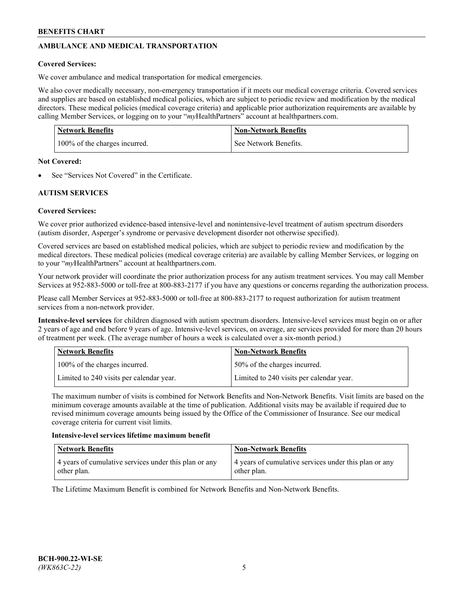# **AMBULANCE AND MEDICAL TRANSPORTATION**

# **Covered Services:**

We cover ambulance and medical transportation for medical emergencies.

We also cover medically necessary, non-emergency transportation if it meets our medical coverage criteria. Covered services and supplies are based on established medical policies, which are subject to periodic review and modification by the medical directors. These medical policies (medical coverage criteria) and applicable prior authorization requirements are available by calling Member Services, or logging on to your "*my*HealthPartners" account a[t healthpartners.com.](https://www.healthpartners.com/hp/index.html)

| <b>Network Benefits</b>       | <b>Non-Network Benefits</b> |
|-------------------------------|-----------------------------|
| 100% of the charges incurred. | See Network Benefits.       |

## **Not Covered:**

See "Services Not Covered" in the Certificate.

# **AUTISM SERVICES**

# **Covered Services:**

We cover prior authorized evidence-based intensive-level and nonintensive-level treatment of autism spectrum disorders (autism disorder, Asperger's syndrome or pervasive development disorder not otherwise specified).

Covered services are based on established medical policies, which are subject to periodic review and modification by the medical directors. These medical policies (medical coverage criteria) are available by calling Member Services, or logging on to your "*my*HealthPartners" account at [healthpartners.com.](https://www.healthpartners.com/hp/index.html)

Your network provider will coordinate the prior authorization process for any autism treatment services. You may call Member Services at 952-883-5000 or toll-free at 800-883-2177 if you have any questions or concerns regarding the authorization process.

Please call Member Services at 952-883-5000 or toll-free at 800-883-2177 to request authorization for autism treatment services from a non-network provider.

**Intensive-level services** for children diagnosed with autism spectrum disorders. Intensive-level services must begin on or after 2 years of age and end before 9 years of age. Intensive-level services, on average, are services provided for more than 20 hours of treatment per week. (The average number of hours a week is calculated over a six-month period.)

| Network Benefits                         | <b>Non-Network Benefits</b>              |
|------------------------------------------|------------------------------------------|
| 100% of the charges incurred.            | 50% of the charges incurred.             |
| Limited to 240 visits per calendar year. | Limited to 240 visits per calendar year. |

The maximum number of visits is combined for Network Benefits and Non-Network Benefits. Visit limits are based on the minimum coverage amounts available at the time of publication. Additional visits may be available if required due to revised minimum coverage amounts being issued by the Office of the Commissioner of Insurance. See our medical coverage criteria for current visit limits.

## **Intensive-level services lifetime maximum benefit**

| Network Benefits                                                     | <b>Non-Network Benefits</b>                                          |
|----------------------------------------------------------------------|----------------------------------------------------------------------|
| 4 years of cumulative services under this plan or any<br>other plan. | 4 years of cumulative services under this plan or any<br>other plan. |

The Lifetime Maximum Benefit is combined for Network Benefits and Non-Network Benefits.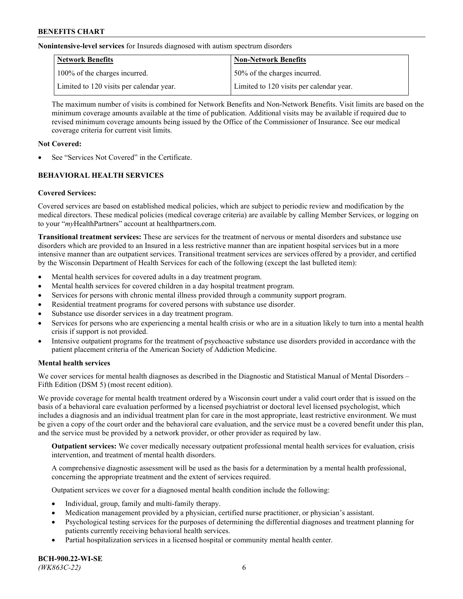**Nonintensive-level services** for Insureds diagnosed with autism spectrum disorders

| Network Benefits                         | <b>Non-Network Benefits</b>              |
|------------------------------------------|------------------------------------------|
| 100% of the charges incurred.            | 50% of the charges incurred.             |
| Limited to 120 visits per calendar year. | Limited to 120 visits per calendar year. |

The maximum number of visits is combined for Network Benefits and Non-Network Benefits. Visit limits are based on the minimum coverage amounts available at the time of publication. Additional visits may be available if required due to revised minimum coverage amounts being issued by the Office of the Commissioner of Insurance. See our medical coverage criteria for current visit limits.

# **Not Covered:**

See "Services Not Covered" in the Certificate.

# **BEHAVIORAL HEALTH SERVICES**

## **Covered Services:**

Covered services are based on established medical policies, which are subject to periodic review and modification by the medical directors. These medical policies (medical coverage criteria) are available by calling Member Services, or logging on to your "*my*HealthPartners" account at [healthpartners.com.](https://www.healthpartners.com/hp/index.html)

**Transitional treatment services:** These are services for the treatment of nervous or mental disorders and substance use disorders which are provided to an Insured in a less restrictive manner than are inpatient hospital services but in a more intensive manner than are outpatient services. Transitional treatment services are services offered by a provider, and certified by the Wisconsin Department of Health Services for each of the following (except the last bulleted item):

- Mental health services for covered adults in a day treatment program.
- Mental health services for covered children in a day hospital treatment program.
- Services for persons with chronic mental illness provided through a community support program.
- Residential treatment programs for covered persons with substance use disorder.
- Substance use disorder services in a day treatment program.
- Services for persons who are experiencing a mental health crisis or who are in a situation likely to turn into a mental health crisis if support is not provided.
- Intensive outpatient programs for the treatment of psychoactive substance use disorders provided in accordance with the patient placement criteria of the American Society of Addiction Medicine.

## **Mental health services**

We cover services for mental health diagnoses as described in the Diagnostic and Statistical Manual of Mental Disorders – Fifth Edition (DSM 5) (most recent edition).

We provide coverage for mental health treatment ordered by a Wisconsin court under a valid court order that is issued on the basis of a behavioral care evaluation performed by a licensed psychiatrist or doctoral level licensed psychologist, which includes a diagnosis and an individual treatment plan for care in the most appropriate, least restrictive environment. We must be given a copy of the court order and the behavioral care evaluation, and the service must be a covered benefit under this plan, and the service must be provided by a network provider, or other provider as required by law.

**Outpatient services:** We cover medically necessary outpatient professional mental health services for evaluation, crisis intervention, and treatment of mental health disorders.

A comprehensive diagnostic assessment will be used as the basis for a determination by a mental health professional, concerning the appropriate treatment and the extent of services required.

Outpatient services we cover for a diagnosed mental health condition include the following:

- Individual, group, family and multi-family therapy.
- Medication management provided by a physician, certified nurse practitioner, or physician's assistant.
- Psychological testing services for the purposes of determining the differential diagnoses and treatment planning for patients currently receiving behavioral health services.
- Partial hospitalization services in a licensed hospital or community mental health center.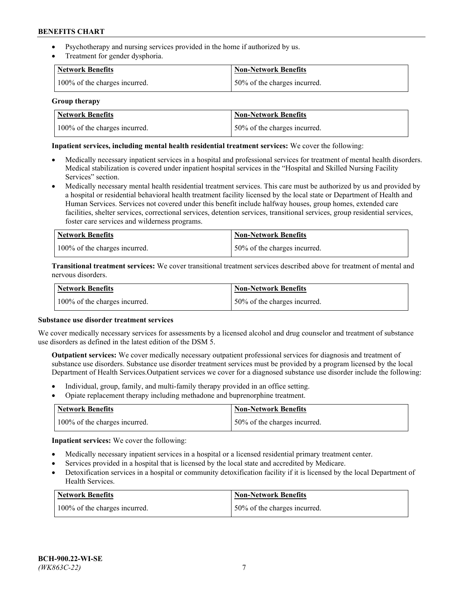- Psychotherapy and nursing services provided in the home if authorized by us.
- Treatment for gender dysphoria.

| <b>Network Benefits</b>       | <b>Non-Network Benefits</b>  |
|-------------------------------|------------------------------|
| 100% of the charges incurred. | 50% of the charges incurred. |

### **Group therapy**

| Network Benefits              | Non-Network Benefits          |
|-------------------------------|-------------------------------|
| 100% of the charges incurred. | 150% of the charges incurred. |

## **Inpatient services, including mental health residential treatment services:** We cover the following:

- Medically necessary inpatient services in a hospital and professional services for treatment of mental health disorders. Medical stabilization is covered under inpatient hospital services in the "Hospital and Skilled Nursing Facility Services" section.
- Medically necessary mental health residential treatment services. This care must be authorized by us and provided by a hospital or residential behavioral health treatment facility licensed by the local state or Department of Health and Human Services. Services not covered under this benefit include halfway houses, group homes, extended care facilities, shelter services, correctional services, detention services, transitional services, group residential services, foster care services and wilderness programs.

| Network Benefits              | Non-Network Benefits         |
|-------------------------------|------------------------------|
| 100% of the charges incurred. | 50% of the charges incurred. |

**Transitional treatment services:** We cover transitional treatment services described above for treatment of mental and nervous disorders.

| <b>Network Benefits</b>       | <b>Non-Network Benefits</b>  |
|-------------------------------|------------------------------|
| 100% of the charges incurred. | 50% of the charges incurred. |

## **Substance use disorder treatment services**

We cover medically necessary services for assessments by a licensed alcohol and drug counselor and treatment of substance use disorders as defined in the latest edition of the DSM 5.

**Outpatient services:** We cover medically necessary outpatient professional services for diagnosis and treatment of substance use disorders. Substance use disorder treatment services must be provided by a program licensed by the local Department of Health Services.Outpatient services we cover for a diagnosed substance use disorder include the following:

- Individual, group, family, and multi-family therapy provided in an office setting.
- Opiate replacement therapy including methadone and buprenorphine treatment.

| Network Benefits              | Non-Network Benefits         |
|-------------------------------|------------------------------|
| 100% of the charges incurred. | 50% of the charges incurred. |

**Inpatient services:** We cover the following:

- Medically necessary inpatient services in a hospital or a licensed residential primary treatment center.
- Services provided in a hospital that is licensed by the local state and accredited by Medicare.
- Detoxification services in a hospital or community detoxification facility if it is licensed by the local Department of Health Services.

| Network Benefits              | <b>Non-Network Benefits</b>  |
|-------------------------------|------------------------------|
| 100% of the charges incurred. | 50% of the charges incurred. |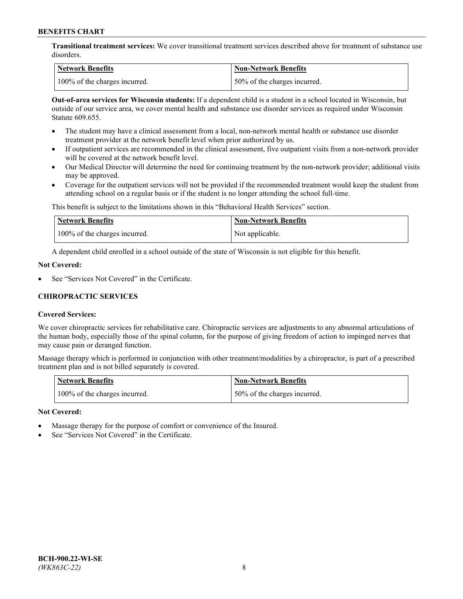**Transitional treatment services:** We cover transitional treatment services described above for treatment of substance use disorders.

| Network Benefits              | <b>Non-Network Benefits</b>   |
|-------------------------------|-------------------------------|
| 100% of the charges incurred. | 150% of the charges incurred. |

**Out-of-area services for Wisconsin students:** If a dependent child is a student in a school located in Wisconsin, but outside of our service area, we cover mental health and substance use disorder services as required under Wisconsin Statute 609.655.

- The student may have a clinical assessment from a local, non-network mental health or substance use disorder treatment provider at the network benefit level when prior authorized by us.
- If outpatient services are recommended in the clinical assessment, five outpatient visits from a non-network provider will be covered at the network benefit level.
- Our Medical Director will determine the need for continuing treatment by the non-network provider; additional visits may be approved.
- Coverage for the outpatient services will not be provided if the recommended treatment would keep the student from attending school on a regular basis or if the student is no longer attending the school full-time.

This benefit is subject to the limitations shown in this "Behavioral Health Services" section.

| <b>Network Benefits</b>       | <b>Non-Network Benefits</b> |
|-------------------------------|-----------------------------|
| 100% of the charges incurred. | Not applicable.             |

A dependent child enrolled in a school outside of the state of Wisconsin is not eligible for this benefit.

### **Not Covered:**

See "Services Not Covered" in the Certificate.

# **CHIROPRACTIC SERVICES**

## **Covered Services:**

We cover chiropractic services for rehabilitative care. Chiropractic services are adjustments to any abnormal articulations of the human body, especially those of the spinal column, for the purpose of giving freedom of action to impinged nerves that may cause pain or deranged function.

Massage therapy which is performed in conjunction with other treatment/modalities by a chiropractor, is part of a prescribed treatment plan and is not billed separately is covered.

| <b>Network Benefits</b>       | <b>Non-Network Benefits</b>  |
|-------------------------------|------------------------------|
| 100% of the charges incurred. | 50% of the charges incurred. |

#### **Not Covered:**

- Massage therapy for the purpose of comfort or convenience of the Insured.
- See "Services Not Covered" in the Certificate.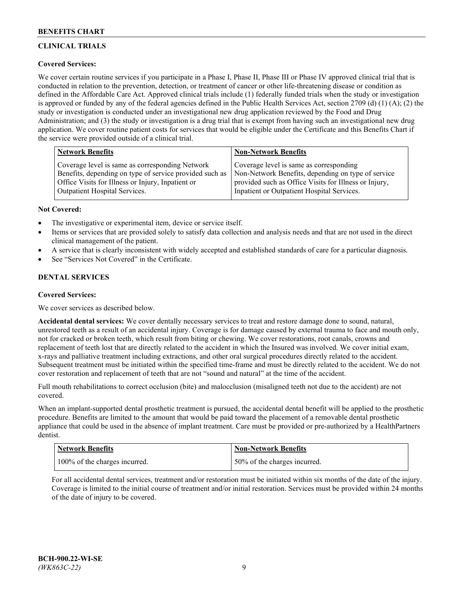# **CLINICAL TRIALS**

# **Covered Services:**

We cover certain routine services if you participate in a Phase I, Phase II, Phase III or Phase IV approved clinical trial that is conducted in relation to the prevention, detection, or treatment of cancer or other life-threatening disease or condition as defined in the Affordable Care Act. Approved clinical trials include (1) federally funded trials when the study or investigation is approved or funded by any of the federal agencies defined in the Public Health Services Act, section 2709 (d) (1) (A); (2) the study or investigation is conducted under an investigational new drug application reviewed by the Food and Drug Administration; and (3) the study or investigation is a drug trial that is exempt from having such an investigational new drug application. We cover routine patient costs for services that would be eligible under the Certificate and this Benefits Chart if the service were provided outside of a clinical trial.

| <b>Network Benefits</b>                                 | <b>Non-Network Benefits</b>                           |
|---------------------------------------------------------|-------------------------------------------------------|
| Coverage level is same as corresponding Network         | Coverage level is same as corresponding               |
| Benefits, depending on type of service provided such as | Non-Network Benefits, depending on type of service    |
| Office Visits for Illness or Injury, Inpatient or       | provided such as Office Visits for Illness or Injury, |
| Outpatient Hospital Services.                           | Inpatient or Outpatient Hospital Services.            |

### **Not Covered:**

- The investigative or experimental item, device or service itself.
- Items or services that are provided solely to satisfy data collection and analysis needs and that are not used in the direct clinical management of the patient.
- A service that is clearly inconsistent with widely accepted and established standards of care for a particular diagnosis.
- See "Services Not Covered" in the Certificate.

# **DENTAL SERVICES**

## **Covered Services:**

We cover services as described below.

**Accidental dental services:** We cover dentally necessary services to treat and restore damage done to sound, natural, unrestored teeth as a result of an accidental injury. Coverage is for damage caused by external trauma to face and mouth only, not for cracked or broken teeth, which result from biting or chewing. We cover restorations, root canals, crowns and replacement of teeth lost that are directly related to the accident in which the Insured was involved. We cover initial exam, x-rays and palliative treatment including extractions, and other oral surgical procedures directly related to the accident. Subsequent treatment must be initiated within the specified time-frame and must be directly related to the accident. We do not cover restoration and replacement of teeth that are not "sound and natural" at the time of the accident.

Full mouth rehabilitations to correct occlusion (bite) and malocclusion (misaligned teeth not due to the accident) are not covered.

When an implant-supported dental prosthetic treatment is pursued, the accidental dental benefit will be applied to the prosthetic procedure. Benefits are limited to the amount that would be paid toward the placement of a removable dental prosthetic appliance that could be used in the absence of implant treatment. Care must be provided or pre-authorized by a HealthPartners dentist.

| <b>Network Benefits</b>       | <b>Non-Network Benefits</b>  |
|-------------------------------|------------------------------|
| 100% of the charges incurred. | 50% of the charges incurred. |

For all accidental dental services, treatment and/or restoration must be initiated within six months of the date of the injury. Coverage is limited to the initial course of treatment and/or initial restoration. Services must be provided within 24 months of the date of injury to be covered.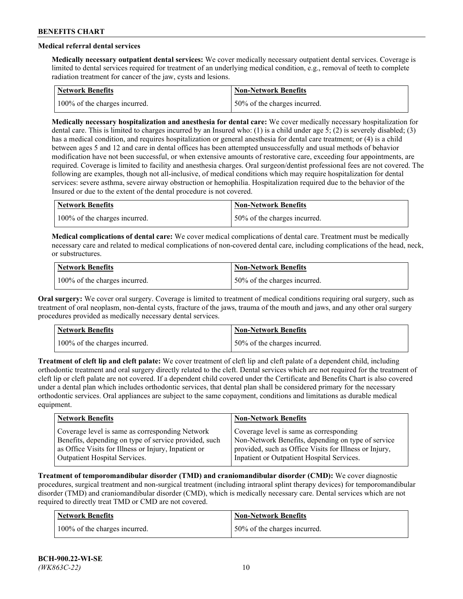# **Medical referral dental services**

**Medically necessary outpatient dental services:** We cover medically necessary outpatient dental services. Coverage is limited to dental services required for treatment of an underlying medical condition, e.g., removal of teeth to complete radiation treatment for cancer of the jaw, cysts and lesions.

| Network Benefits              | <b>Non-Network Benefits</b>  |
|-------------------------------|------------------------------|
| 100% of the charges incurred. | 50% of the charges incurred. |

**Medically necessary hospitalization and anesthesia for dental care:** We cover medically necessary hospitalization for dental care. This is limited to charges incurred by an Insured who: (1) is a child under age 5; (2) is severely disabled; (3) has a medical condition, and requires hospitalization or general anesthesia for dental care treatment; or (4) is a child between ages 5 and 12 and care in dental offices has been attempted unsuccessfully and usual methods of behavior modification have not been successful, or when extensive amounts of restorative care, exceeding four appointments, are required. Coverage is limited to facility and anesthesia charges. Oral surgeon/dentist professional fees are not covered. The following are examples, though not all-inclusive, of medical conditions which may require hospitalization for dental services: severe asthma, severe airway obstruction or hemophilia. Hospitalization required due to the behavior of the Insured or due to the extent of the dental procedure is not covered.

| Network Benefits              | <b>Non-Network Benefits</b>  |
|-------------------------------|------------------------------|
| 100% of the charges incurred. | 50% of the charges incurred. |

**Medical complications of dental care:** We cover medical complications of dental care. Treatment must be medically necessary care and related to medical complications of non-covered dental care, including complications of the head, neck, or substructures.

| Network Benefits              | Non-Network Benefits         |
|-------------------------------|------------------------------|
| 100% of the charges incurred. | 50% of the charges incurred. |

**Oral surgery:** We cover oral surgery. Coverage is limited to treatment of medical conditions requiring oral surgery, such as treatment of oral neoplasm, non-dental cysts, fracture of the jaws, trauma of the mouth and jaws, and any other oral surgery procedures provided as medically necessary dental services.

| <b>Network Benefits</b>       | <b>Non-Network Benefits</b>   |
|-------------------------------|-------------------------------|
| 100% of the charges incurred. | 150% of the charges incurred. |

**Treatment of cleft lip and cleft palate:** We cover treatment of cleft lip and cleft palate of a dependent child, including orthodontic treatment and oral surgery directly related to the cleft. Dental services which are not required for the treatment of cleft lip or cleft palate are not covered. If a dependent child covered under the Certificate and Benefits Chart is also covered under a dental plan which includes orthodontic services, that dental plan shall be considered primary for the necessary orthodontic services. Oral appliances are subject to the same copayment, conditions and limitations as durable medical equipment.

| <b>Network Benefits</b>                               | <b>Non-Network Benefits</b>                            |
|-------------------------------------------------------|--------------------------------------------------------|
| Coverage level is same as corresponding Network       | Coverage level is same as corresponding                |
| Benefits, depending on type of service provided, such | Non-Network Benefits, depending on type of service     |
| as Office Visits for Illness or Injury, Inpatient or  | provided, such as Office Visits for Illness or Injury, |
| Outpatient Hospital Services.                         | Inpatient or Outpatient Hospital Services.             |

**Treatment of temporomandibular disorder (TMD) and craniomandibular disorder (CMD):** We cover diagnostic procedures, surgical treatment and non-surgical treatment (including intraoral splint therapy devices) for temporomandibular disorder (TMD) and craniomandibular disorder (CMD), which is medically necessary care. Dental services which are not required to directly treat TMD or CMD are not covered.

| <b>Network Benefits</b>       | <b>Non-Network Benefits</b>   |
|-------------------------------|-------------------------------|
| 100% of the charges incurred. | 150% of the charges incurred. |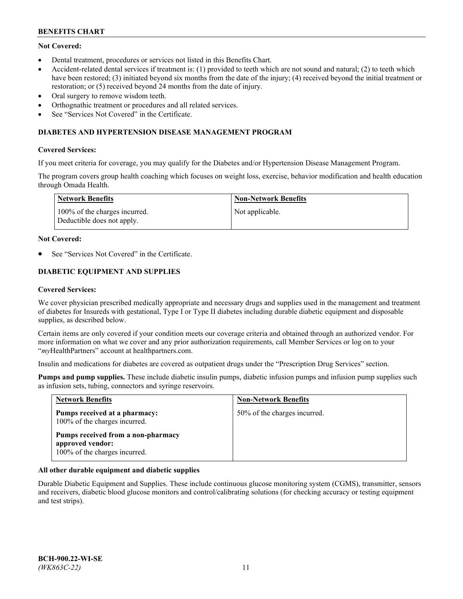# **Not Covered:**

- Dental treatment, procedures or services not listed in this Benefits Chart.
- Accident-related dental services if treatment is: (1) provided to teeth which are not sound and natural; (2) to teeth which have been restored; (3) initiated beyond six months from the date of the injury; (4) received beyond the initial treatment or restoration; or (5) received beyond 24 months from the date of injury.
- Oral surgery to remove wisdom teeth.
- Orthognathic treatment or procedures and all related services.
- See "Services Not Covered" in the Certificate.

## **DIABETES AND HYPERTENSION DISEASE MANAGEMENT PROGRAM**

### **Covered Services:**

If you meet criteria for coverage, you may qualify for the Diabetes and/or Hypertension Disease Management Program.

The program covers group health coaching which focuses on weight loss, exercise, behavior modification and health education through Omada Health.

| <b>Network Benefits</b>                                     | <b>Non-Network Benefits</b> |
|-------------------------------------------------------------|-----------------------------|
| 100% of the charges incurred.<br>Deductible does not apply. | Not applicable.             |

## **Not Covered:**

See "Services Not Covered" in the Certificate.

# **DIABETIC EQUIPMENT AND SUPPLIES**

### **Covered Services:**

We cover physician prescribed medically appropriate and necessary drugs and supplies used in the management and treatment of diabetes for Insureds with gestational, Type I or Type II diabetes including durable diabetic equipment and disposable supplies, as described below.

Certain items are only covered if your condition meets our coverage criteria and obtained through an authorized vendor. For more information on what we cover and any prior authorization requirements, call Member Services or log on to your "*my*HealthPartners" account at [healthpartners.com.](http://www.healthpartners.com/)

Insulin and medications for diabetes are covered as outpatient drugs under the "Prescription Drug Services" section.

**Pumps and pump supplies.** These include diabetic insulin pumps, diabetic infusion pumps and infusion pump supplies such as infusion sets, tubing, connectors and syringe reservoirs.

| <b>Network Benefits</b>                                                                 | <b>Non-Network Benefits</b>  |
|-----------------------------------------------------------------------------------------|------------------------------|
| Pumps received at a pharmacy:<br>100% of the charges incurred.                          | 50% of the charges incurred. |
| Pumps received from a non-pharmacy<br>approved vendor:<br>100% of the charges incurred. |                              |

## **All other durable equipment and diabetic supplies**

Durable Diabetic Equipment and Supplies. These include continuous glucose monitoring system (CGMS), transmitter, sensors and receivers, diabetic blood glucose monitors and control/calibrating solutions (for checking accuracy or testing equipment and test strips).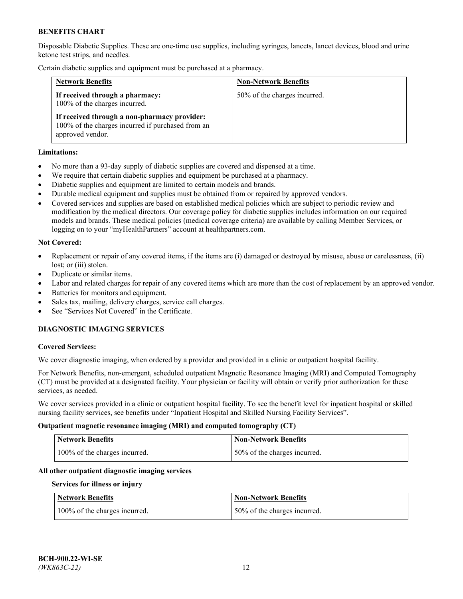Disposable Diabetic Supplies. These are one-time use supplies, including syringes, lancets, lancet devices, blood and urine ketone test strips, and needles.

Certain diabetic supplies and equipment must be purchased at a pharmacy.

| <b>Network Benefits</b>                                                                                               | <b>Non-Network Benefits</b>  |
|-----------------------------------------------------------------------------------------------------------------------|------------------------------|
| If received through a pharmacy:<br>100% of the charges incurred.                                                      | 50% of the charges incurred. |
| If received through a non-pharmacy provider:<br>100% of the charges incurred if purchased from an<br>approved vendor. |                              |

### **Limitations:**

- No more than a 93-day supply of diabetic supplies are covered and dispensed at a time.
- We require that certain diabetic supplies and equipment be purchased at a pharmacy.
- Diabetic supplies and equipment are limited to certain models and brands.
- Durable medical equipment and supplies must be obtained from or repaired by approved vendors.
- Covered services and supplies are based on established medical policies which are subject to periodic review and modification by the medical directors. Our coverage policy for diabetic supplies includes information on our required models and brands. These medical policies (medical coverage criteria) are available by calling Member Services, or logging on to your "myHealthPartners" account at [healthpartners.com.](http://www.healthpartners.com/)

### **Not Covered:**

- Replacement or repair of any covered items, if the items are (i) damaged or destroyed by misuse, abuse or carelessness, (ii) lost; or (iii) stolen.
- Duplicate or similar items.
- Labor and related charges for repair of any covered items which are more than the cost of replacement by an approved vendor.
- Batteries for monitors and equipment.
- Sales tax, mailing, delivery charges, service call charges.
- See "Services Not Covered" in the Certificate.

# **DIAGNOSTIC IMAGING SERVICES**

#### **Covered Services:**

We cover diagnostic imaging, when ordered by a provider and provided in a clinic or outpatient hospital facility.

For Network Benefits, non-emergent, scheduled outpatient Magnetic Resonance Imaging (MRI) and Computed Tomography (CT) must be provided at a designated facility. Your physician or facility will obtain or verify prior authorization for these services, as needed.

We cover services provided in a clinic or outpatient hospital facility. To see the benefit level for inpatient hospital or skilled nursing facility services, see benefits under "Inpatient Hospital and Skilled Nursing Facility Services".

### **Outpatient magnetic resonance imaging (MRI) and computed tomography (CT)**

| <b>Network Benefits</b>       | <b>Non-Network Benefits</b>  |
|-------------------------------|------------------------------|
| 100% of the charges incurred. | 50% of the charges incurred. |

#### **All other outpatient diagnostic imaging services**

#### **Services for illness or injury**

| <b>Network Benefits</b>       | <b>Non-Network Benefits</b>  |
|-------------------------------|------------------------------|
| 100% of the charges incurred. | 50% of the charges incurred. |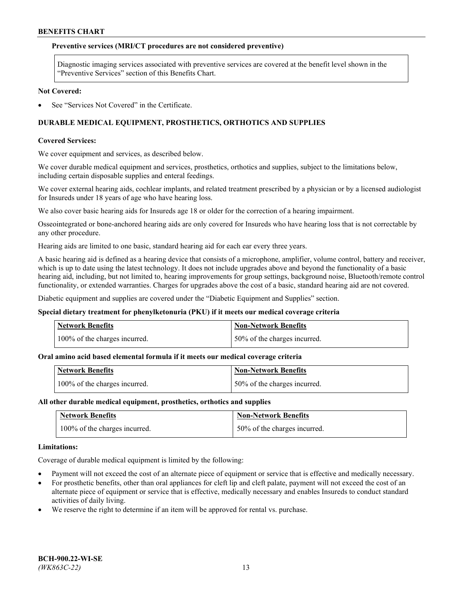### **Preventive services (MRI/CT procedures are not considered preventive)**

Diagnostic imaging services associated with preventive services are covered at the benefit level shown in the "Preventive Services" section of this Benefits Chart.

#### **Not Covered:**

See "Services Not Covered" in the Certificate.

# **DURABLE MEDICAL EQUIPMENT, PROSTHETICS, ORTHOTICS AND SUPPLIES**

#### **Covered Services:**

We cover equipment and services, as described below.

We cover durable medical equipment and services, prosthetics, orthotics and supplies, subject to the limitations below, including certain disposable supplies and enteral feedings.

We cover external hearing aids, cochlear implants, and related treatment prescribed by a physician or by a licensed audiologist for Insureds under 18 years of age who have hearing loss.

We also cover basic hearing aids for Insureds age 18 or older for the correction of a hearing impairment.

Osseointegrated or bone-anchored hearing aids are only covered for Insureds who have hearing loss that is not correctable by any other procedure.

Hearing aids are limited to one basic, standard hearing aid for each ear every three years.

A basic hearing aid is defined as a hearing device that consists of a microphone, amplifier, volume control, battery and receiver, which is up to date using the latest technology. It does not include upgrades above and beyond the functionality of a basic hearing aid, including, but not limited to, hearing improvements for group settings, background noise, Bluetooth/remote control functionality, or extended warranties. Charges for upgrades above the cost of a basic, standard hearing aid are not covered.

Diabetic equipment and supplies are covered under the "Diabetic Equipment and Supplies" section.

#### **Special dietary treatment for phenylketonuria (PKU) if it meets our medical coverage criteria**

| <b>Network Benefits</b>       | <b>Non-Network Benefits</b>  |
|-------------------------------|------------------------------|
| 100% of the charges incurred. | 50% of the charges incurred. |

#### **Oral amino acid based elemental formula if it meets our medical coverage criteria**

| Network Benefits              | Non-Network Benefits         |
|-------------------------------|------------------------------|
| 100% of the charges incurred. | 50% of the charges incurred. |

#### **All other durable medical equipment, prosthetics, orthotics and supplies**

| <b>Network Benefits</b>       | <b>Non-Network Benefits</b>  |
|-------------------------------|------------------------------|
| 100% of the charges incurred. | 50% of the charges incurred. |

#### **Limitations:**

Coverage of durable medical equipment is limited by the following:

- Payment will not exceed the cost of an alternate piece of equipment or service that is effective and medically necessary.
- For prosthetic benefits, other than oral appliances for cleft lip and cleft palate, payment will not exceed the cost of an alternate piece of equipment or service that is effective, medically necessary and enables Insureds to conduct standard activities of daily living.
- We reserve the right to determine if an item will be approved for rental vs. purchase.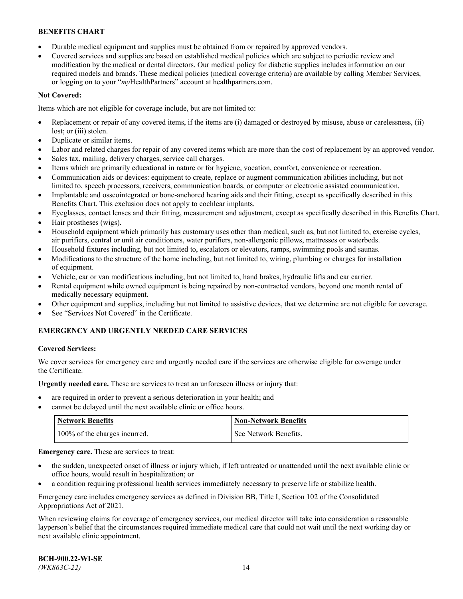- Durable medical equipment and supplies must be obtained from or repaired by approved vendors.
- Covered services and supplies are based on established medical policies which are subject to periodic review and modification by the medical or dental directors. Our medical policy for diabetic supplies includes information on our required models and brands. These medical policies (medical coverage criteria) are available by calling Member Services, or logging on to your "*my*HealthPartners" account a[t healthpartners.com.](http://www.healthpartners.com/)

# **Not Covered:**

Items which are not eligible for coverage include, but are not limited to:

- Replacement or repair of any covered items, if the items are (i) damaged or destroyed by misuse, abuse or carelessness, (ii) lost; or (iii) stolen.
- Duplicate or similar items.
- Labor and related charges for repair of any covered items which are more than the cost of replacement by an approved vendor.
- Sales tax, mailing, delivery charges, service call charges.
- Items which are primarily educational in nature or for hygiene, vocation, comfort, convenience or recreation.
- Communication aids or devices: equipment to create, replace or augment communication abilities including, but not limited to, speech processors, receivers, communication boards, or computer or electronic assisted communication.
- Implantable and osseointegrated or bone-anchored hearing aids and their fitting, except as specifically described in this Benefits Chart. This exclusion does not apply to cochlear implants.
- Eyeglasses, contact lenses and their fitting, measurement and adjustment, except as specifically described in this Benefits Chart.
- Hair prostheses (wigs).
- Household equipment which primarily has customary uses other than medical, such as, but not limited to, exercise cycles, air purifiers, central or unit air conditioners, water purifiers, non-allergenic pillows, mattresses or waterbeds.
- Household fixtures including, but not limited to, escalators or elevators, ramps, swimming pools and saunas.
- Modifications to the structure of the home including, but not limited to, wiring, plumbing or charges for installation of equipment.
- Vehicle, car or van modifications including, but not limited to, hand brakes, hydraulic lifts and car carrier.
- Rental equipment while owned equipment is being repaired by non-contracted vendors, beyond one month rental of medically necessary equipment.
- Other equipment and supplies, including but not limited to assistive devices, that we determine are not eligible for coverage.
- See "Services Not Covered" in the Certificate.

# **EMERGENCY AND URGENTLY NEEDED CARE SERVICES**

## **Covered Services:**

We cover services for emergency care and urgently needed care if the services are otherwise eligible for coverage under the Certificate.

**Urgently needed care.** These are services to treat an unforeseen illness or injury that:

- are required in order to prevent a serious deterioration in your health; and
- cannot be delayed until the next available clinic or office hours.

| <b>Network Benefits</b>       | <b>Non-Network Benefits</b> |
|-------------------------------|-----------------------------|
| 100% of the charges incurred. | See Network Benefits.       |

**Emergency care.** These are services to treat:

- the sudden, unexpected onset of illness or injury which, if left untreated or unattended until the next available clinic or office hours, would result in hospitalization; or
- a condition requiring professional health services immediately necessary to preserve life or stabilize health.

Emergency care includes emergency services as defined in Division BB, Title I, Section 102 of the Consolidated Appropriations Act of 2021.

When reviewing claims for coverage of emergency services, our medical director will take into consideration a reasonable layperson's belief that the circumstances required immediate medical care that could not wait until the next working day or next available clinic appointment.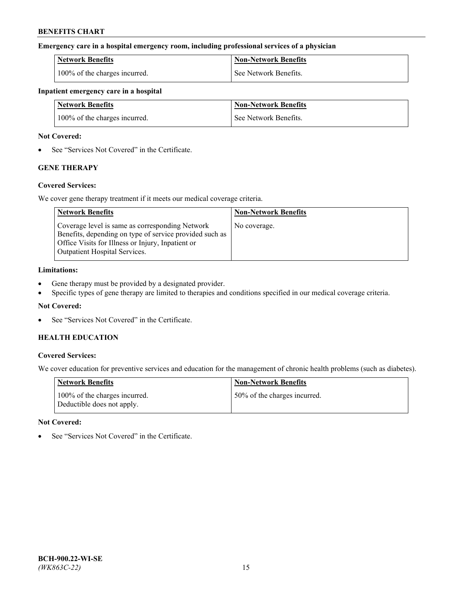### **Emergency care in a hospital emergency room, including professional services of a physician**

| <b>Network Benefits</b>       | <b>Non-Network Benefits</b> |
|-------------------------------|-----------------------------|
| 100% of the charges incurred. | See Network Benefits.       |

#### **Inpatient emergency care in a hospital**

| <b>Network Benefits</b>       | <b>Non-Network Benefits</b> |
|-------------------------------|-----------------------------|
| 100% of the charges incurred. | See Network Benefits.       |

### **Not Covered:**

• See "Services Not Covered" in the Certificate.

# **GENE THERAPY**

## **Covered Services:**

We cover gene therapy treatment if it meets our medical coverage criteria.

| <b>Network Benefits</b>                                                                                                                                                                                 | <b>Non-Network Benefits</b> |
|---------------------------------------------------------------------------------------------------------------------------------------------------------------------------------------------------------|-----------------------------|
| Coverage level is same as corresponding Network<br>Benefits, depending on type of service provided such as<br>Office Visits for Illness or Injury, Inpatient or<br><b>Outpatient Hospital Services.</b> | No coverage.                |

### **Limitations:**

- Gene therapy must be provided by a designated provider.
- Specific types of gene therapy are limited to therapies and conditions specified in our medical coverage criteria.

# **Not Covered:**

See "Services Not Covered" in the Certificate.

# **HEALTH EDUCATION**

## **Covered Services:**

We cover education for preventive services and education for the management of chronic health problems (such as diabetes).

| <b>Network Benefits</b>                                     | <b>Non-Network Benefits</b>  |
|-------------------------------------------------------------|------------------------------|
| 100% of the charges incurred.<br>Deductible does not apply. | 50% of the charges incurred. |

#### **Not Covered:**

See "Services Not Covered" in the Certificate.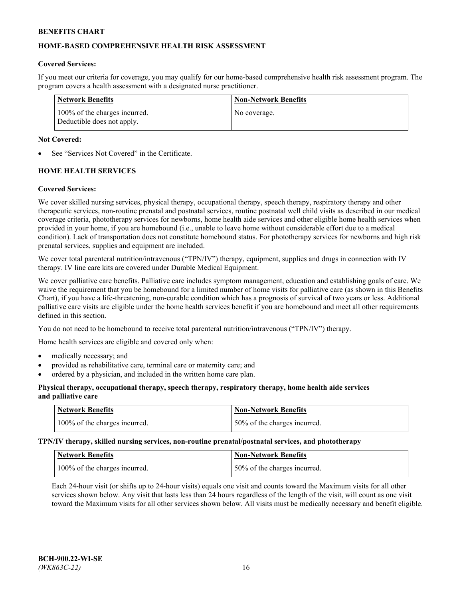# **HOME-BASED COMPREHENSIVE HEALTH RISK ASSESSMENT**

### **Covered Services:**

If you meet our criteria for coverage, you may qualify for our home-based comprehensive health risk assessment program. The program covers a health assessment with a designated nurse practitioner.

| Network Benefits                                            | <b>Non-Network Benefits</b> |
|-------------------------------------------------------------|-----------------------------|
| 100% of the charges incurred.<br>Deductible does not apply. | No coverage.                |

### **Not Covered:**

See "Services Not Covered" in the Certificate.

# **HOME HEALTH SERVICES**

### **Covered Services:**

We cover skilled nursing services, physical therapy, occupational therapy, speech therapy, respiratory therapy and other therapeutic services, non-routine prenatal and postnatal services, routine postnatal well child visits as described in our medical coverage criteria, phototherapy services for newborns, home health aide services and other eligible home health services when provided in your home, if you are homebound (i.e., unable to leave home without considerable effort due to a medical condition). Lack of transportation does not constitute homebound status. For phototherapy services for newborns and high risk prenatal services, supplies and equipment are included.

We cover total parenteral nutrition/intravenous ("TPN/IV") therapy, equipment, supplies and drugs in connection with IV therapy. IV line care kits are covered under Durable Medical Equipment.

We cover palliative care benefits. Palliative care includes symptom management, education and establishing goals of care. We waive the requirement that you be homebound for a limited number of home visits for palliative care (as shown in this Benefits Chart), if you have a life-threatening, non-curable condition which has a prognosis of survival of two years or less. Additional palliative care visits are eligible under the home health services benefit if you are homebound and meet all other requirements defined in this section.

You do not need to be homebound to receive total parenteral nutrition/intravenous ("TPN/IV") therapy.

Home health services are eligible and covered only when:

- medically necessary; and
- provided as rehabilitative care, terminal care or maternity care; and
- ordered by a physician, and included in the written home care plan.

## **Physical therapy, occupational therapy, speech therapy, respiratory therapy, home health aide services and palliative care**

| <b>Network Benefits</b>       | <b>Non-Network Benefits</b>  |
|-------------------------------|------------------------------|
| 100% of the charges incurred. | 50% of the charges incurred. |

**TPN/IV therapy, skilled nursing services, non-routine prenatal/postnatal services, and phototherapy**

| Network Benefits              | Non-Network Benefits         |
|-------------------------------|------------------------------|
| 100% of the charges incurred. | 50% of the charges incurred. |

Each 24-hour visit (or shifts up to 24-hour visits) equals one visit and counts toward the Maximum visits for all other services shown below. Any visit that lasts less than 24 hours regardless of the length of the visit, will count as one visit toward the Maximum visits for all other services shown below. All visits must be medically necessary and benefit eligible.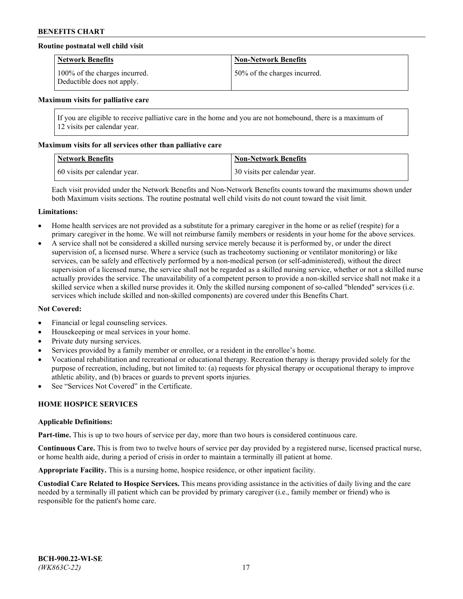## **Routine postnatal well child visit**

| <b>Network Benefits</b>                                     | <b>Non-Network Benefits</b>  |
|-------------------------------------------------------------|------------------------------|
| 100% of the charges incurred.<br>Deductible does not apply. | 50% of the charges incurred. |

#### **Maximum visits for palliative care**

If you are eligible to receive palliative care in the home and you are not homebound, there is a maximum of 12 visits per calendar year.

### **Maximum visits for all services other than palliative care**

| <b>Network Benefits</b>      | <b>Non-Network Benefits</b>  |
|------------------------------|------------------------------|
| 60 visits per calendar year. | 30 visits per calendar year. |

Each visit provided under the Network Benefits and Non-Network Benefits counts toward the maximums shown under both Maximum visits sections. The routine postnatal well child visits do not count toward the visit limit.

#### **Limitations:**

- Home health services are not provided as a substitute for a primary caregiver in the home or as relief (respite) for a primary caregiver in the home. We will not reimburse family members or residents in your home for the above services.
- A service shall not be considered a skilled nursing service merely because it is performed by, or under the direct supervision of, a licensed nurse. Where a service (such as tracheotomy suctioning or ventilator monitoring) or like services, can be safely and effectively performed by a non-medical person (or self-administered), without the direct supervision of a licensed nurse, the service shall not be regarded as a skilled nursing service, whether or not a skilled nurse actually provides the service. The unavailability of a competent person to provide a non-skilled service shall not make it a skilled service when a skilled nurse provides it. Only the skilled nursing component of so-called "blended" services (i.e. services which include skilled and non-skilled components) are covered under this Benefits Chart.

#### **Not Covered:**

- Financial or legal counseling services.
- Housekeeping or meal services in your home.
- Private duty nursing services.
- Services provided by a family member or enrollee, or a resident in the enrollee's home.
- Vocational rehabilitation and recreational or educational therapy. Recreation therapy is therapy provided solely for the purpose of recreation, including, but not limited to: (a) requests for physical therapy or occupational therapy to improve athletic ability, and (b) braces or guards to prevent sports injuries.
- See "Services Not Covered" in the Certificate.

# **HOME HOSPICE SERVICES**

#### **Applicable Definitions:**

**Part-time.** This is up to two hours of service per day, more than two hours is considered continuous care.

**Continuous Care.** This is from two to twelve hours of service per day provided by a registered nurse, licensed practical nurse, or home health aide, during a period of crisis in order to maintain a terminally ill patient at home.

**Appropriate Facility.** This is a nursing home, hospice residence, or other inpatient facility.

**Custodial Care Related to Hospice Services.** This means providing assistance in the activities of daily living and the care needed by a terminally ill patient which can be provided by primary caregiver (i.e., family member or friend) who is responsible for the patient's home care.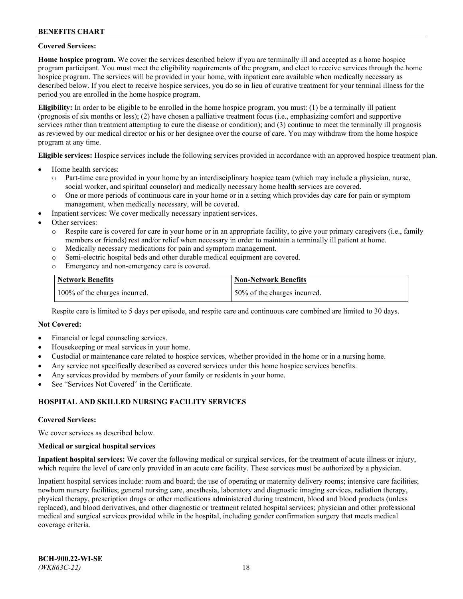## **Covered Services:**

**Home hospice program.** We cover the services described below if you are terminally ill and accepted as a home hospice program participant. You must meet the eligibility requirements of the program, and elect to receive services through the home hospice program. The services will be provided in your home, with inpatient care available when medically necessary as described below. If you elect to receive hospice services, you do so in lieu of curative treatment for your terminal illness for the period you are enrolled in the home hospice program.

**Eligibility:** In order to be eligible to be enrolled in the home hospice program, you must: (1) be a terminally ill patient (prognosis of six months or less); (2) have chosen a palliative treatment focus (i.e., emphasizing comfort and supportive services rather than treatment attempting to cure the disease or condition); and (3) continue to meet the terminally ill prognosis as reviewed by our medical director or his or her designee over the course of care. You may withdraw from the home hospice program at any time.

**Eligible services:** Hospice services include the following services provided in accordance with an approved hospice treatment plan.

- Home health services:
	- o Part-time care provided in your home by an interdisciplinary hospice team (which may include a physician, nurse, social worker, and spiritual counselor) and medically necessary home health services are covered.
	- o One or more periods of continuous care in your home or in a setting which provides day care for pain or symptom management, when medically necessary, will be covered.
- Inpatient services: We cover medically necessary inpatient services.
- Other services:
	- o Respite care is covered for care in your home or in an appropriate facility, to give your primary caregivers (i.e., family members or friends) rest and/or relief when necessary in order to maintain a terminally ill patient at home.
	- o Medically necessary medications for pain and symptom management.
	- o Semi-electric hospital beds and other durable medical equipment are covered.
	- Emergency and non-emergency care is covered.

| Network Benefits              | <b>Non-Network Benefits</b>  |
|-------------------------------|------------------------------|
| 100% of the charges incurred. | 50% of the charges incurred. |

Respite care is limited to 5 days per episode, and respite care and continuous care combined are limited to 30 days.

### **Not Covered:**

- Financial or legal counseling services.
- Housekeeping or meal services in your home.
- Custodial or maintenance care related to hospice services, whether provided in the home or in a nursing home.
- Any service not specifically described as covered services under this home hospice services benefits.
- Any services provided by members of your family or residents in your home.
- See "Services Not Covered" in the Certificate.

## **HOSPITAL AND SKILLED NURSING FACILITY SERVICES**

#### **Covered Services:**

We cover services as described below.

#### **Medical or surgical hospital services**

**Inpatient hospital services:** We cover the following medical or surgical services, for the treatment of acute illness or injury, which require the level of care only provided in an acute care facility. These services must be authorized by a physician.

Inpatient hospital services include: room and board; the use of operating or maternity delivery rooms; intensive care facilities; newborn nursery facilities; general nursing care, anesthesia, laboratory and diagnostic imaging services, radiation therapy, physical therapy, prescription drugs or other medications administered during treatment, blood and blood products (unless replaced), and blood derivatives, and other diagnostic or treatment related hospital services; physician and other professional medical and surgical services provided while in the hospital, including gender confirmation surgery that meets medical coverage criteria.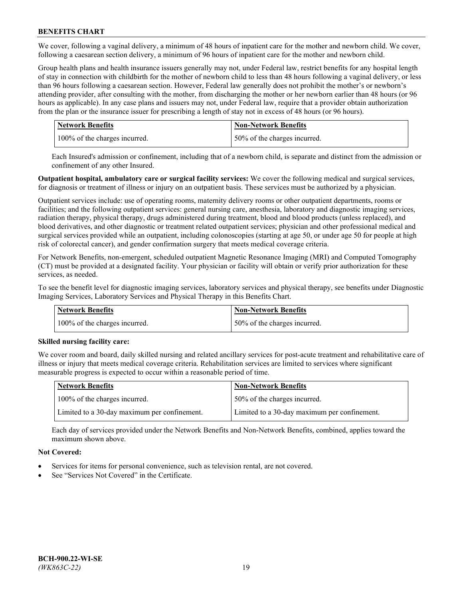We cover, following a vaginal delivery, a minimum of 48 hours of inpatient care for the mother and newborn child. We cover, following a caesarean section delivery, a minimum of 96 hours of inpatient care for the mother and newborn child.

Group health plans and health insurance issuers generally may not, under Federal law, restrict benefits for any hospital length of stay in connection with childbirth for the mother of newborn child to less than 48 hours following a vaginal delivery, or less than 96 hours following a caesarean section. However, Federal law generally does not prohibit the mother's or newborn's attending provider, after consulting with the mother, from discharging the mother or her newborn earlier than 48 hours (or 96 hours as applicable). In any case plans and issuers may not, under Federal law, require that a provider obtain authorization from the plan or the insurance issuer for prescribing a length of stay not in excess of 48 hours (or 96 hours).

| Network Benefits              | <b>Non-Network Benefits</b>  |
|-------------------------------|------------------------------|
| 100% of the charges incurred. | 50% of the charges incurred. |

Each Insured's admission or confinement, including that of a newborn child, is separate and distinct from the admission or confinement of any other Insured.

**Outpatient hospital, ambulatory care or surgical facility services:** We cover the following medical and surgical services, for diagnosis or treatment of illness or injury on an outpatient basis. These services must be authorized by a physician.

Outpatient services include: use of operating rooms, maternity delivery rooms or other outpatient departments, rooms or facilities; and the following outpatient services: general nursing care, anesthesia, laboratory and diagnostic imaging services, radiation therapy, physical therapy, drugs administered during treatment, blood and blood products (unless replaced), and blood derivatives, and other diagnostic or treatment related outpatient services; physician and other professional medical and surgical services provided while an outpatient, including colonoscopies (starting at age 50, or under age 50 for people at high risk of colorectal cancer), and gender confirmation surgery that meets medical coverage criteria.

For Network Benefits, non-emergent, scheduled outpatient Magnetic Resonance Imaging (MRI) and Computed Tomography (CT) must be provided at a designated facility. Your physician or facility will obtain or verify prior authorization for these services, as needed.

To see the benefit level for diagnostic imaging services, laboratory services and physical therapy, see benefits under Diagnostic Imaging Services, Laboratory Services and Physical Therapy in this Benefits Chart.

| <b>Network Benefits</b>       | <b>Non-Network Benefits</b>  |
|-------------------------------|------------------------------|
| 100% of the charges incurred. | 50% of the charges incurred. |

## **Skilled nursing facility care:**

We cover room and board, daily skilled nursing and related ancillary services for post-acute treatment and rehabilitative care of illness or injury that meets medical coverage criteria. Rehabilitation services are limited to services where significant measurable progress is expected to occur within a reasonable period of time.

| Network Benefits                             | <b>Non-Network Benefits</b>                  |
|----------------------------------------------|----------------------------------------------|
| 100% of the charges incurred.                | 50% of the charges incurred.                 |
| Limited to a 30-day maximum per confinement. | Limited to a 30-day maximum per confinement. |

Each day of services provided under the Network Benefits and Non-Network Benefits, combined, applies toward the maximum shown above.

## **Not Covered:**

- Services for items for personal convenience, such as television rental, are not covered.
- See "Services Not Covered" in the Certificate.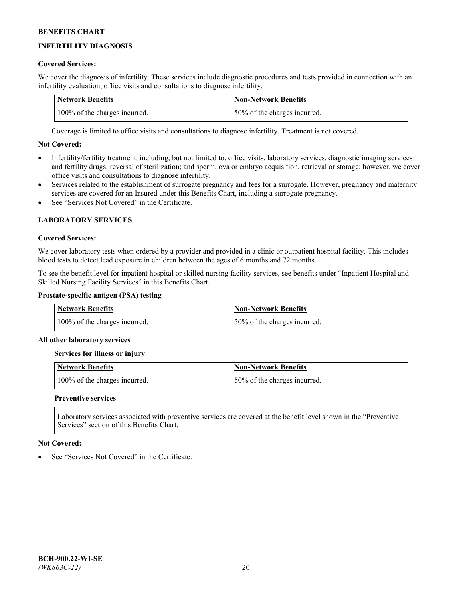# **INFERTILITY DIAGNOSIS**

# **Covered Services:**

We cover the diagnosis of infertility. These services include diagnostic procedures and tests provided in connection with an infertility evaluation, office visits and consultations to diagnose infertility.

| <b>Network Benefits</b>       | <b>Non-Network Benefits</b>  |
|-------------------------------|------------------------------|
| 100% of the charges incurred. | 50% of the charges incurred. |

Coverage is limited to office visits and consultations to diagnose infertility. Treatment is not covered.

# **Not Covered:**

- Infertility/fertility treatment, including, but not limited to, office visits, laboratory services, diagnostic imaging services and fertility drugs; reversal of sterilization; and sperm, ova or embryo acquisition, retrieval or storage; however, we cover office visits and consultations to diagnose infertility.
- Services related to the establishment of surrogate pregnancy and fees for a surrogate. However, pregnancy and maternity services are covered for an Insured under this Benefits Chart, including a surrogate pregnancy.
- See "Services Not Covered" in the Certificate

# **LABORATORY SERVICES**

## **Covered Services:**

We cover laboratory tests when ordered by a provider and provided in a clinic or outpatient hospital facility. This includes blood tests to detect lead exposure in children between the ages of 6 months and 72 months.

To see the benefit level for inpatient hospital or skilled nursing facility services, see benefits under "Inpatient Hospital and Skilled Nursing Facility Services" in this Benefits Chart.

# **Prostate-specific antigen (PSA) testing**

| <b>Network Benefits</b>       | <b>Non-Network Benefits</b>  |
|-------------------------------|------------------------------|
| 100% of the charges incurred. | 50% of the charges incurred. |

## **All other laboratory services**

**Services for illness or injury**

| <b>Network Benefits</b>       | 'Non-Network Benefits        |
|-------------------------------|------------------------------|
| 100% of the charges incurred. | 50% of the charges incurred. |

## **Preventive services**

Laboratory services associated with preventive services are covered at the benefit level shown in the "Preventive Services" section of this Benefits Chart.

## **Not Covered:**

See "Services Not Covered" in the Certificate.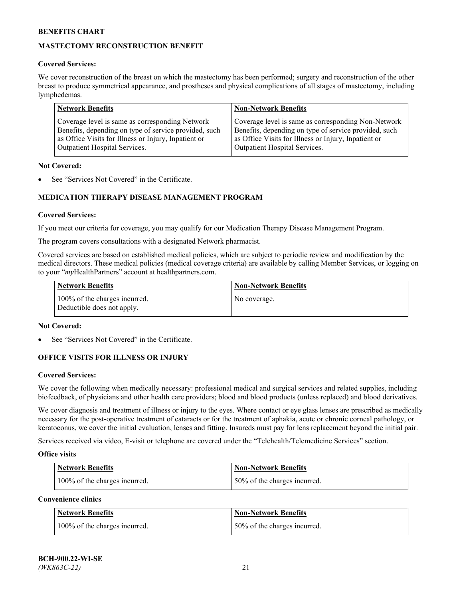# **MASTECTOMY RECONSTRUCTION BENEFIT**

## **Covered Services:**

We cover reconstruction of the breast on which the mastectomy has been performed; surgery and reconstruction of the other breast to produce symmetrical appearance, and prostheses and physical complications of all stages of mastectomy, including lymphedemas.

| <b>Network Benefits</b>                               | <b>Non-Network Benefits</b>                           |
|-------------------------------------------------------|-------------------------------------------------------|
| Coverage level is same as corresponding Network       | Coverage level is same as corresponding Non-Network   |
| Benefits, depending on type of service provided, such | Benefits, depending on type of service provided, such |
| as Office Visits for Illness or Injury, Inpatient or  | as Office Visits for Illness or Injury, Inpatient or  |
| Outpatient Hospital Services.                         | Outpatient Hospital Services.                         |

### **Not Covered:**

See "Services Not Covered" in the Certificate.

# **MEDICATION THERAPY DISEASE MANAGEMENT PROGRAM**

## **Covered Services:**

If you meet our criteria for coverage, you may qualify for our Medication Therapy Disease Management Program.

The program covers consultations with a designated Network pharmacist.

Covered services are based on established medical policies, which are subject to periodic review and modification by the medical directors. These medical policies (medical coverage criteria) are available by calling Member Services, or logging on to your "*my*HealthPartners" account at [healthpartners.com.](http://www.healthpartners.com/)

| Network Benefits                                            | <b>Non-Network Benefits</b> |
|-------------------------------------------------------------|-----------------------------|
| 100% of the charges incurred.<br>Deductible does not apply. | No coverage.                |

### **Not Covered:**

See "Services Not Covered" in the Certificate.

## **OFFICE VISITS FOR ILLNESS OR INJURY**

#### **Covered Services:**

We cover the following when medically necessary: professional medical and surgical services and related supplies, including biofeedback, of physicians and other health care providers; blood and blood products (unless replaced) and blood derivatives.

We cover diagnosis and treatment of illness or injury to the eyes. Where contact or eye glass lenses are prescribed as medically necessary for the post-operative treatment of cataracts or for the treatment of aphakia, acute or chronic corneal pathology, or keratoconus, we cover the initial evaluation, lenses and fitting. Insureds must pay for lens replacement beyond the initial pair.

Services received via video, E-visit or telephone are covered under the "Telehealth/Telemedicine Services" section.

#### **Office visits**

| <b>Network Benefits</b>       | <b>Non-Network Benefits</b>  |
|-------------------------------|------------------------------|
| 100% of the charges incurred. | 50% of the charges incurred. |

**Convenience clinics**

| <b>Network Benefits</b>       | <b>Non-Network Benefits</b>   |
|-------------------------------|-------------------------------|
| 100% of the charges incurred. | 150% of the charges incurred. |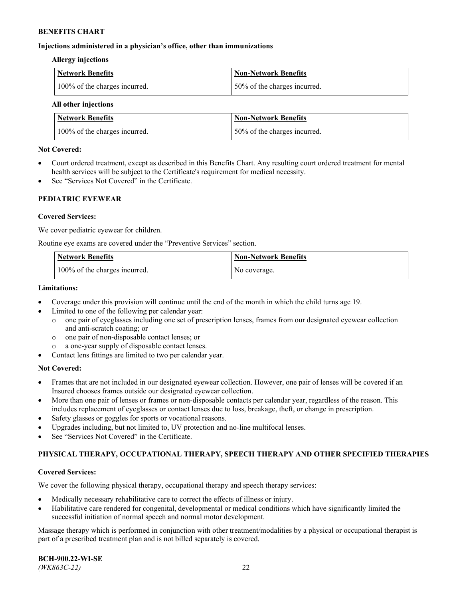## **Injections administered in a physician's office, other than immunizations**

#### **Allergy injections**

| Network Benefits              | Non-Network Benefits         |
|-------------------------------|------------------------------|
| 100% of the charges incurred. | 50% of the charges incurred. |

#### **All other injections**

| <b>Network Benefits</b>       | <b>Non-Network Benefits</b>  |
|-------------------------------|------------------------------|
| 100% of the charges incurred. | 50% of the charges incurred. |

### **Not Covered:**

- Court ordered treatment, except as described in this Benefits Chart. Any resulting court ordered treatment for mental health services will be subject to the Certificate's requirement for medical necessity.
- See "Services Not Covered" in the Certificate.

### **PEDIATRIC EYEWEAR**

### **Covered Services:**

We cover pediatric eyewear for children.

Routine eye exams are covered under the "Preventive Services" section.

| Network Benefits              | <b>Non-Network Benefits</b> |
|-------------------------------|-----------------------------|
| 100% of the charges incurred. | No coverage.                |

### **Limitations:**

- Coverage under this provision will continue until the end of the month in which the child turns age 19.
- Limited to one of the following per calendar year:
	- o one pair of eyeglasses including one set of prescription lenses, frames from our designated eyewear collection and anti-scratch coating; or
	- o one pair of non-disposable contact lenses; or
	- o a one-year supply of disposable contact lenses.
- Contact lens fittings are limited to two per calendar year.

## **Not Covered:**

- Frames that are not included in our designated eyewear collection. However, one pair of lenses will be covered if an Insured chooses frames outside our designated eyewear collection.
- More than one pair of lenses or frames or non-disposable contacts per calendar year, regardless of the reason. This includes replacement of eyeglasses or contact lenses due to loss, breakage, theft, or change in prescription.
- Safety glasses or goggles for sports or vocational reasons.
- Upgrades including, but not limited to, UV protection and no-line multifocal lenses.
- See "Services Not Covered" in the Certificate.

## **PHYSICAL THERAPY, OCCUPATIONAL THERAPY, SPEECH THERAPY AND OTHER SPECIFIED THERAPIES**

#### **Covered Services:**

We cover the following physical therapy, occupational therapy and speech therapy services:

- Medically necessary rehabilitative care to correct the effects of illness or injury.
- Habilitative care rendered for congenital, developmental or medical conditions which have significantly limited the successful initiation of normal speech and normal motor development.

Massage therapy which is performed in conjunction with other treatment/modalities by a physical or occupational therapist is part of a prescribed treatment plan and is not billed separately is covered.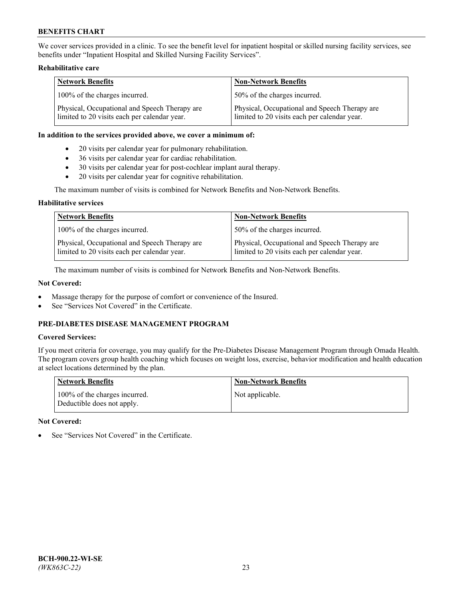We cover services provided in a clinic. To see the benefit level for inpatient hospital or skilled nursing facility services, see benefits under "Inpatient Hospital and Skilled Nursing Facility Services".

## **Rehabilitative care**

| <b>Network Benefits</b>                                                                       | <b>Non-Network Benefits</b>                                                                   |
|-----------------------------------------------------------------------------------------------|-----------------------------------------------------------------------------------------------|
| 100% of the charges incurred.                                                                 | 50% of the charges incurred.                                                                  |
| Physical, Occupational and Speech Therapy are<br>limited to 20 visits each per calendar year. | Physical, Occupational and Speech Therapy are<br>limited to 20 visits each per calendar year. |

#### **In addition to the services provided above, we cover a minimum of:**

- 20 visits per calendar year for pulmonary rehabilitation.
- 36 visits per calendar year for cardiac rehabilitation.
- 30 visits per calendar year for post-cochlear implant aural therapy.
- 20 visits per calendar year for cognitive rehabilitation.

The maximum number of visits is combined for Network Benefits and Non-Network Benefits.

### **Habilitative services**

| <b>Network Benefits</b>                                                                       | <b>Non-Network Benefits</b>                                                                   |
|-----------------------------------------------------------------------------------------------|-----------------------------------------------------------------------------------------------|
| 100% of the charges incurred.                                                                 | 50% of the charges incurred.                                                                  |
| Physical, Occupational and Speech Therapy are<br>limited to 20 visits each per calendar year. | Physical, Occupational and Speech Therapy are<br>limited to 20 visits each per calendar year. |

The maximum number of visits is combined for Network Benefits and Non-Network Benefits.

## **Not Covered:**

- Massage therapy for the purpose of comfort or convenience of the Insured.
- See "Services Not Covered" in the Certificate.

# **PRE-DIABETES DISEASE MANAGEMENT PROGRAM**

# **Covered Services:**

If you meet criteria for coverage, you may qualify for the Pre-Diabetes Disease Management Program through Omada Health. The program covers group health coaching which focuses on weight loss, exercise, behavior modification and health education at select locations determined by the plan.

| <b>Network Benefits</b>                                     | <b>Non-Network Benefits</b> |
|-------------------------------------------------------------|-----------------------------|
| 100% of the charges incurred.<br>Deductible does not apply. | Not applicable.             |

## **Not Covered:**

See "Services Not Covered" in the Certificate.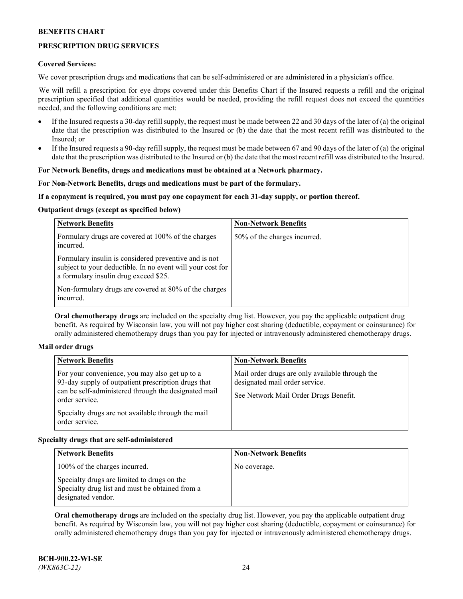# **PRESCRIPTION DRUG SERVICES**

### **Covered Services:**

We cover prescription drugs and medications that can be self-administered or are administered in a physician's office.

We will refill a prescription for eye drops covered under this Benefits Chart if the Insured requests a refill and the original prescription specified that additional quantities would be needed, providing the refill request does not exceed the quantities needed, and the following conditions are met:

- If the Insured requests a 30-day refill supply, the request must be made between 22 and 30 days of the later of (a) the original date that the prescription was distributed to the Insured or (b) the date that the most recent refill was distributed to the Insured; or
- If the Insured requests a 90-day refill supply, the request must be made between 67 and 90 days of the later of (a) the original date that the prescription was distributed to the Insured or (b) the date that the most recent refill was distributed to the Insured.

## **For Network Benefits, drugs and medications must be obtained at a Network pharmacy.**

### **For Non-Network Benefits, drugs and medications must be part of the formulary.**

### **If a copayment is required, you must pay one copayment for each 31-day supply, or portion thereof.**

### **Outpatient drugs (except as specified below)**

| <b>Network Benefits</b>                                                                                                                                      | <b>Non-Network Benefits</b>  |
|--------------------------------------------------------------------------------------------------------------------------------------------------------------|------------------------------|
| Formulary drugs are covered at 100% of the charges<br>incurred.                                                                                              | 50% of the charges incurred. |
| Formulary insulin is considered preventive and is not<br>subject to your deductible. In no event will your cost for<br>a formulary insulin drug exceed \$25. |                              |
| Non-formulary drugs are covered at 80% of the charges<br>incurred.                                                                                           |                              |

**Oral chemotherapy drugs** are included on the specialty drug list. However, you pay the applicable outpatient drug benefit. As required by Wisconsin law, you will not pay higher cost sharing (deductible, copayment or coinsurance) for orally administered chemotherapy drugs than you pay for injected or intravenously administered chemotherapy drugs.

#### **Mail order drugs**

| <b>Network Benefits</b>                                                                                                                                                                                                                                 | <b>Non-Network Benefits</b>                                                                                                |
|---------------------------------------------------------------------------------------------------------------------------------------------------------------------------------------------------------------------------------------------------------|----------------------------------------------------------------------------------------------------------------------------|
| For your convenience, you may also get up to a<br>93-day supply of outpatient prescription drugs that<br>can be self-administered through the designated mail<br>order service.<br>Specialty drugs are not available through the mail<br>order service. | Mail order drugs are only available through the<br>designated mail order service.<br>See Network Mail Order Drugs Benefit. |

## **Specialty drugs that are self-administered**

| <b>Network Benefits</b>                                                                                              | <b>Non-Network Benefits</b> |
|----------------------------------------------------------------------------------------------------------------------|-----------------------------|
| 100% of the charges incurred.                                                                                        | No coverage.                |
| Specialty drugs are limited to drugs on the<br>Specialty drug list and must be obtained from a<br>designated vendor. |                             |

**Oral chemotherapy drugs** are included on the specialty drug list. However, you pay the applicable outpatient drug benefit. As required by Wisconsin law, you will not pay higher cost sharing (deductible, copayment or coinsurance) for orally administered chemotherapy drugs than you pay for injected or intravenously administered chemotherapy drugs.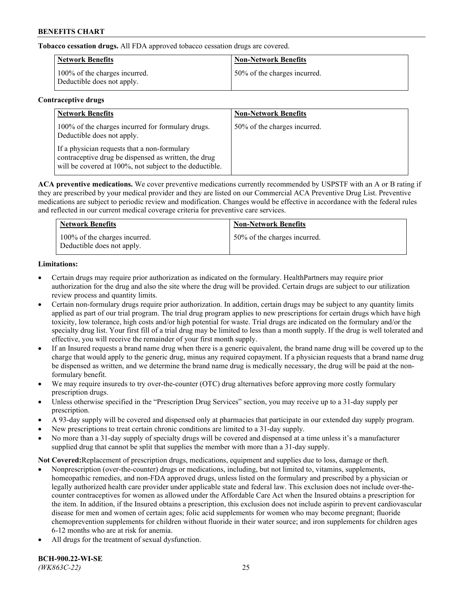**Tobacco cessation drugs.** All FDA approved tobacco cessation drugs are covered.

| Network Benefits                                            | <b>Non-Network Benefits</b>  |
|-------------------------------------------------------------|------------------------------|
| 100% of the charges incurred.<br>Deductible does not apply. | 50% of the charges incurred. |

# **Contraceptive drugs**

| <b>Network Benefits</b>                                                                                                                                         | <b>Non-Network Benefits</b>  |
|-----------------------------------------------------------------------------------------------------------------------------------------------------------------|------------------------------|
| 100% of the charges incurred for formulary drugs.<br>Deductible does not apply.                                                                                 | 50% of the charges incurred. |
| If a physician requests that a non-formulary<br>contraceptive drug be dispensed as written, the drug<br>will be covered at 100%, not subject to the deductible. |                              |

**ACA preventive medications.** We cover preventive medications currently recommended by USPSTF with an A or B rating if they are prescribed by your medical provider and they are listed on our Commercial ACA Preventive Drug List. Preventive medications are subject to periodic review and modification. Changes would be effective in accordance with the federal rules and reflected in our current medical coverage criteria for preventive care services.

| <b>Network Benefits</b>                                     | <b>Non-Network Benefits</b>  |
|-------------------------------------------------------------|------------------------------|
| 100% of the charges incurred.<br>Deductible does not apply. | 50% of the charges incurred. |

# **Limitations:**

- Certain drugs may require prior authorization as indicated on the formulary. HealthPartners may require prior authorization for the drug and also the site where the drug will be provided. Certain drugs are subject to our utilization review process and quantity limits.
- Certain non-formulary drugs require prior authorization. In addition, certain drugs may be subject to any quantity limits applied as part of our trial program. The trial drug program applies to new prescriptions for certain drugs which have high toxicity, low tolerance, high costs and/or high potential for waste. Trial drugs are indicated on the formulary and/or the specialty drug list. Your first fill of a trial drug may be limited to less than a month supply. If the drug is well tolerated and effective, you will receive the remainder of your first month supply.
- If an Insured requests a brand name drug when there is a generic equivalent, the brand name drug will be covered up to the charge that would apply to the generic drug, minus any required copayment. If a physician requests that a brand name drug be dispensed as written, and we determine the brand name drug is medically necessary, the drug will be paid at the nonformulary benefit.
- We may require insureds to try over-the-counter (OTC) drug alternatives before approving more costly formulary prescription drugs.
- Unless otherwise specified in the "Prescription Drug Services" section, you may receive up to a 31-day supply per prescription.
- A 93-day supply will be covered and dispensed only at pharmacies that participate in our extended day supply program.
- New prescriptions to treat certain chronic conditions are limited to a 31-day supply.
- No more than a 31-day supply of specialty drugs will be covered and dispensed at a time unless it's a manufacturer supplied drug that cannot be split that supplies the member with more than a 31-day supply.

**Not Covered:**Replacement of prescription drugs, medications, equipment and supplies due to loss, damage or theft.

- Nonprescription (over-the-counter) drugs or medications, including, but not limited to, vitamins, supplements, homeopathic remedies, and non-FDA approved drugs, unless listed on the formulary and prescribed by a physician or legally authorized health care provider under applicable state and federal law. This exclusion does not include over-thecounter contraceptives for women as allowed under the Affordable Care Act when the Insured obtains a prescription for the item. In addition, if the Insured obtains a prescription, this exclusion does not include aspirin to prevent cardiovascular disease for men and women of certain ages; folic acid supplements for women who may become pregnant; fluoride chemoprevention supplements for children without fluoride in their water source; and iron supplements for children ages 6-12 months who are at risk for anemia.
- All drugs for the treatment of sexual dysfunction.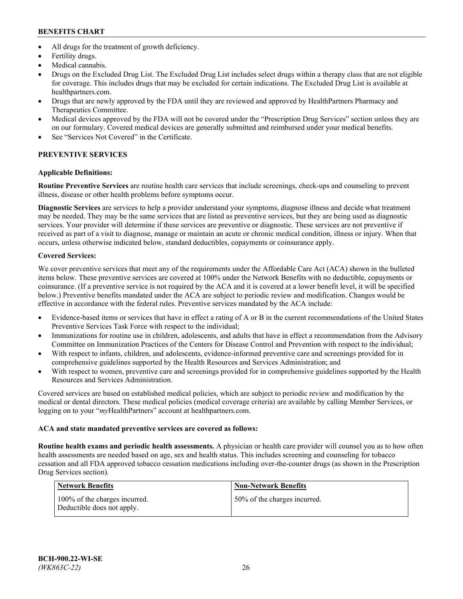- All drugs for the treatment of growth deficiency.
- Fertility drugs.
- Medical cannabis.
- Drugs on the Excluded Drug List. The Excluded Drug List includes select drugs within a therapy class that are not eligible for coverage. This includes drugs that may be excluded for certain indications. The Excluded Drug List is available at [healthpartners.com.](http://www.healthpartners.com/)
- Drugs that are newly approved by the FDA until they are reviewed and approved by HealthPartners Pharmacy and Therapeutics Committee.
- Medical devices approved by the FDA will not be covered under the "Prescription Drug Services" section unless they are on our formulary. Covered medical devices are generally submitted and reimbursed under your medical benefits.
- See "Services Not Covered" in the Certificate.

# **PREVENTIVE SERVICES**

# **Applicable Definitions:**

**Routine Preventive Services** are routine health care services that include screenings, check-ups and counseling to prevent illness, disease or other health problems before symptoms occur.

**Diagnostic Services** are services to help a provider understand your symptoms, diagnose illness and decide what treatment may be needed. They may be the same services that are listed as preventive services, but they are being used as diagnostic services. Your provider will determine if these services are preventive or diagnostic. These services are not preventive if received as part of a visit to diagnose, manage or maintain an acute or chronic medical condition, illness or injury. When that occurs, unless otherwise indicated below, standard deductibles, copayments or coinsurance apply.

# **Covered Services:**

We cover preventive services that meet any of the requirements under the Affordable Care Act (ACA) shown in the bulleted items below. These preventive services are covered at 100% under the Network Benefits with no deductible, copayments or coinsurance. (If a preventive service is not required by the ACA and it is covered at a lower benefit level, it will be specified below.) Preventive benefits mandated under the ACA are subject to periodic review and modification. Changes would be effective in accordance with the federal rules. Preventive services mandated by the ACA include:

- Evidence-based items or services that have in effect a rating of A or B in the current recommendations of the United States Preventive Services Task Force with respect to the individual;
- Immunizations for routine use in children, adolescents, and adults that have in effect a recommendation from the Advisory Committee on Immunization Practices of the Centers for Disease Control and Prevention with respect to the individual;
- With respect to infants, children, and adolescents, evidence-informed preventive care and screenings provided for in comprehensive guidelines supported by the Health Resources and Services Administration; and
- With respect to women, preventive care and screenings provided for in comprehensive guidelines supported by the Health Resources and Services Administration.

Covered services are based on established medical policies, which are subject to periodic review and modification by the medical or dental directors. These medical policies (medical coverage criteria) are available by calling Member Services, or logging on to your "*my*HealthPartners" account at [healthpartners.com.](https://www.healthpartners.com/hp/index.html)

# **ACA and state mandated preventive services are covered as follows:**

**Routine health exams and periodic health assessments.** A physician or health care provider will counsel you as to how often health assessments are needed based on age, sex and health status. This includes screening and counseling for tobacco cessation and all FDA approved tobacco cessation medications including over-the-counter drugs (as shown in the Prescription Drug Services section).

| Network Benefits                                            | <b>Non-Network Benefits</b>  |
|-------------------------------------------------------------|------------------------------|
| 100% of the charges incurred.<br>Deductible does not apply. | 50% of the charges incurred. |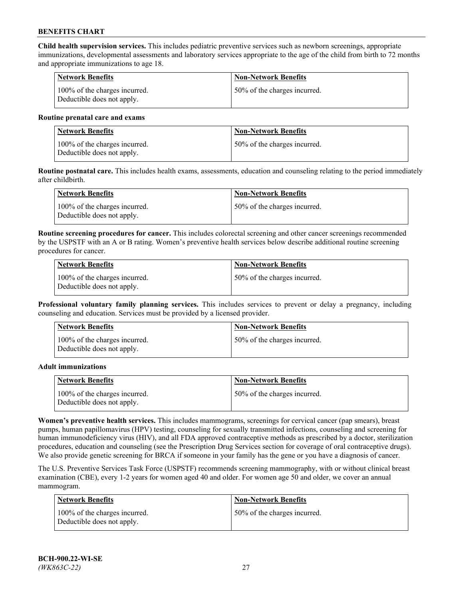**Child health supervision services.** This includes pediatric preventive services such as newborn screenings, appropriate immunizations, developmental assessments and laboratory services appropriate to the age of the child from birth to 72 months and appropriate immunizations to age 18.

| <b>Network Benefits</b>                                     | <b>Non-Network Benefits</b>  |
|-------------------------------------------------------------|------------------------------|
| 100% of the charges incurred.<br>Deductible does not apply. | 50% of the charges incurred. |

#### **Routine prenatal care and exams**

| Network Benefits                                            | <b>Non-Network Benefits</b>  |
|-------------------------------------------------------------|------------------------------|
| 100% of the charges incurred.<br>Deductible does not apply. | 50% of the charges incurred. |

**Routine postnatal care.** This includes health exams, assessments, education and counseling relating to the period immediately after childbirth.

| Network Benefits                                            | <b>Non-Network Benefits</b>  |
|-------------------------------------------------------------|------------------------------|
| 100% of the charges incurred.<br>Deductible does not apply. | 50% of the charges incurred. |

**Routine screening procedures for cancer.** This includes colorectal screening and other cancer screenings recommended by the USPSTF with an A or B rating. Women's preventive health services below describe additional routine screening procedures for cancer.

| <b>Network Benefits</b>                                     | <b>Non-Network Benefits</b>  |
|-------------------------------------------------------------|------------------------------|
| 100% of the charges incurred.<br>Deductible does not apply. | 50% of the charges incurred. |

**Professional voluntary family planning services.** This includes services to prevent or delay a pregnancy, including counseling and education. Services must be provided by a licensed provider.

| <b>Network Benefits</b>                                     | <b>Non-Network Benefits</b>  |
|-------------------------------------------------------------|------------------------------|
| 100% of the charges incurred.<br>Deductible does not apply. | 50% of the charges incurred. |

#### **Adult immunizations**

| <b>Network Benefits</b>                                     | <b>Non-Network Benefits</b>  |
|-------------------------------------------------------------|------------------------------|
| 100% of the charges incurred.<br>Deductible does not apply. | 50% of the charges incurred. |

**Women's preventive health services.** This includes mammograms, screenings for cervical cancer (pap smears), breast pumps, human papillomavirus (HPV) testing, counseling for sexually transmitted infections, counseling and screening for human immunodeficiency virus (HIV), and all FDA approved contraceptive methods as prescribed by a doctor, sterilization procedures, education and counseling (see the Prescription Drug Services section for coverage of oral contraceptive drugs). We also provide genetic screening for BRCA if someone in your family has the gene or you have a diagnosis of cancer.

The U.S. Preventive Services Task Force (USPSTF) recommends screening mammography, with or without clinical breast examination (CBE), every 1-2 years for women aged 40 and older. For women age 50 and older, we cover an annual mammogram.

| <b>Network Benefits</b>                                     | <b>Non-Network Benefits</b>  |
|-------------------------------------------------------------|------------------------------|
| 100% of the charges incurred.<br>Deductible does not apply. | 50% of the charges incurred. |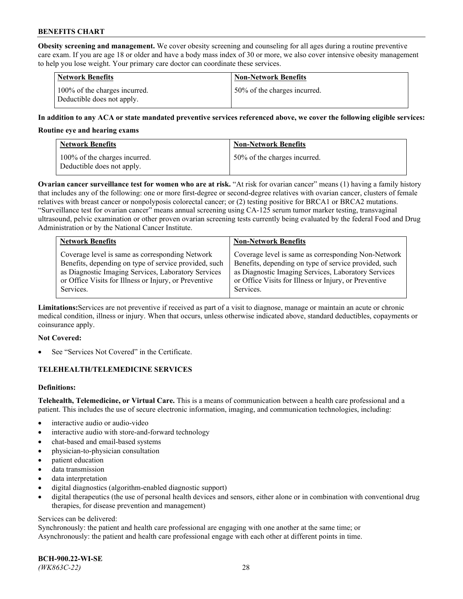**Obesity screening and management.** We cover obesity screening and counseling for all ages during a routine preventive care exam. If you are age 18 or older and have a body mass index of 30 or more, we also cover intensive obesity management to help you lose weight. Your primary care doctor can coordinate these services.

| <b>Network Benefits</b>                                     | <b>Non-Network Benefits</b>  |
|-------------------------------------------------------------|------------------------------|
| 100% of the charges incurred.<br>Deductible does not apply. | 50% of the charges incurred. |

## **In addition to any ACA or state mandated preventive services referenced above, we cover the following eligible services:**

#### **Routine eye and hearing exams**

| <b>Network Benefits</b>                                     | <b>Non-Network Benefits</b>  |
|-------------------------------------------------------------|------------------------------|
| 100% of the charges incurred.<br>Deductible does not apply. | 50% of the charges incurred. |

**Ovarian cancer surveillance test for women who are at risk.** "At risk for ovarian cancer" means (1) having a family history that includes any of the following: one or more first-degree or second-degree relatives with ovarian cancer, clusters of female relatives with breast cancer or nonpolyposis colorectal cancer; or (2) testing positive for BRCA1 or BRCA2 mutations. "Surveillance test for ovarian cancer" means annual screening using CA-125 serum tumor marker testing, transvaginal ultrasound, pelvic examination or other proven ovarian screening tests currently being evaluated by the federal Food and Drug Administration or by the National Cancer Institute.

| <b>Network Benefits</b>                               | <b>Non-Network Benefits</b>                           |
|-------------------------------------------------------|-------------------------------------------------------|
| Coverage level is same as corresponding Network       | Coverage level is same as corresponding Non-Network   |
| Benefits, depending on type of service provided, such | Benefits, depending on type of service provided, such |
| as Diagnostic Imaging Services, Laboratory Services   | as Diagnostic Imaging Services, Laboratory Services   |
| or Office Visits for Illness or Injury, or Preventive | or Office Visits for Illness or Injury, or Preventive |
| Services.                                             | Services.                                             |

**Limitations:**Services are not preventive if received as part of a visit to diagnose, manage or maintain an acute or chronic medical condition, illness or injury. When that occurs, unless otherwise indicated above, standard deductibles, copayments or coinsurance apply.

#### **Not Covered:**

See "Services Not Covered" in the Certificate.

## **TELEHEALTH/TELEMEDICINE SERVICES**

## **Definitions:**

**Telehealth, Telemedicine, or Virtual Care.** This is a means of communication between a health care professional and a patient. This includes the use of secure electronic information, imaging, and communication technologies, including:

- interactive audio or audio-video
- interactive audio with store-and-forward technology
- chat-based and email-based systems
- physician-to-physician consultation
- patient education
- data transmission
- data interpretation
- digital diagnostics (algorithm-enabled diagnostic support)
- digital therapeutics (the use of personal health devices and sensors, either alone or in combination with conventional drug therapies, for disease prevention and management)

#### Services can be delivered:

Synchronously: the patient and health care professional are engaging with one another at the same time; or Asynchronously: the patient and health care professional engage with each other at different points in time.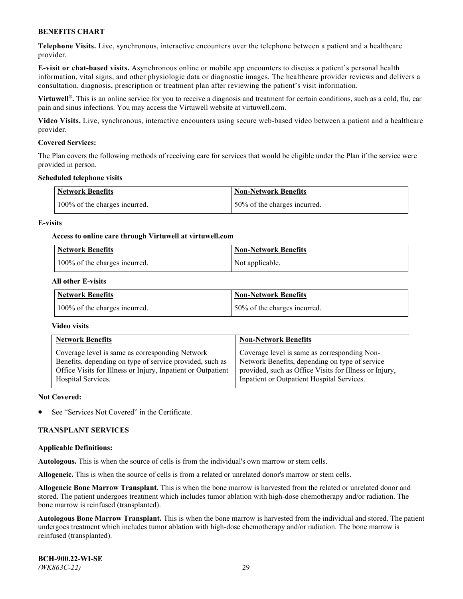**Telephone Visits.** Live, synchronous, interactive encounters over the telephone between a patient and a healthcare provider.

**E-visit or chat-based visits.** Asynchronous online or mobile app encounters to discuss a patient's personal health information, vital signs, and other physiologic data or diagnostic images. The healthcare provider reviews and delivers a consultation, diagnosis, prescription or treatment plan after reviewing the patient's visit information.

**Virtuwell®.** This is an online service for you to receive a diagnosis and treatment for certain conditions, such as a cold, flu, ear pain and sinus infections. You may access the Virtuwell website at [virtuwell.com.](https://www.virtuwell.com/)

**Video Visits.** Live, synchronous, interactive encounters using secure web-based video between a patient and a healthcare provider.

### **Covered Services:**

The Plan covers the following methods of receiving care for services that would be eligible under the Plan if the service were provided in person.

#### **Scheduled telephone visits**

| <b>Network Benefits</b>       | <b>Non-Network Benefits</b>  |
|-------------------------------|------------------------------|
| 100% of the charges incurred. | 50% of the charges incurred. |

### **E-visits**

### **Access to online care through Virtuwell at [virtuwell.com](https://www.virtuwell.com/)**

| Network Benefits              | <b>Non-Network Benefits</b> |
|-------------------------------|-----------------------------|
| 100% of the charges incurred. | Not applicable.             |

### **All other E-visits**

| Network Benefits              | <b>Non-Network Benefits</b>  |
|-------------------------------|------------------------------|
| 100% of the charges incurred. | 50% of the charges incurred. |

#### **Video visits**

| <b>Network Benefits</b>                                      | <b>Non-Network Benefits</b>                            |
|--------------------------------------------------------------|--------------------------------------------------------|
| Coverage level is same as corresponding Network              | Coverage level is same as corresponding Non-           |
| Benefits, depending on type of service provided, such as     | Network Benefits, depending on type of service         |
| Office Visits for Illness or Injury, Inpatient or Outpatient | provided, such as Office Visits for Illness or Injury, |
| Hospital Services.                                           | Inpatient or Outpatient Hospital Services.             |

#### **Not Covered:**

See "Services Not Covered" in the Certificate.

## **TRANSPLANT SERVICES**

#### **Applicable Definitions:**

**Autologous.** This is when the source of cells is from the individual's own marrow or stem cells.

**Allogeneic.** This is when the source of cells is from a related or unrelated donor's marrow or stem cells.

**Allogeneic Bone Marrow Transplant.** This is when the bone marrow is harvested from the related or unrelated donor and stored. The patient undergoes treatment which includes tumor ablation with high-dose chemotherapy and/or radiation. The bone marrow is reinfused (transplanted).

**Autologous Bone Marrow Transplant.** This is when the bone marrow is harvested from the individual and stored. The patient undergoes treatment which includes tumor ablation with high-dose chemotherapy and/or radiation. The bone marrow is reinfused (transplanted).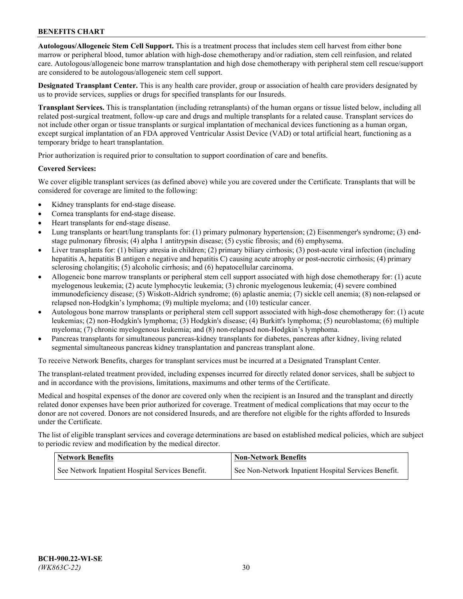**Autologous/Allogeneic Stem Cell Support.** This is a treatment process that includes stem cell harvest from either bone marrow or peripheral blood, tumor ablation with high-dose chemotherapy and/or radiation, stem cell reinfusion, and related care. Autologous/allogeneic bone marrow transplantation and high dose chemotherapy with peripheral stem cell rescue/support are considered to be autologous/allogeneic stem cell support.

**Designated Transplant Center.** This is any health care provider, group or association of health care providers designated by us to provide services, supplies or drugs for specified transplants for our Insureds.

**Transplant Services.** This is transplantation (including retransplants) of the human organs or tissue listed below, including all related post-surgical treatment, follow-up care and drugs and multiple transplants for a related cause. Transplant services do not include other organ or tissue transplants or surgical implantation of mechanical devices functioning as a human organ, except surgical implantation of an FDA approved Ventricular Assist Device (VAD) or total artificial heart, functioning as a temporary bridge to heart transplantation.

Prior authorization is required prior to consultation to support coordination of care and benefits.

### **Covered Services:**

We cover eligible transplant services (as defined above) while you are covered under the Certificate. Transplants that will be considered for coverage are limited to the following:

- Kidney transplants for end-stage disease.
- Cornea transplants for end-stage disease.
- Heart transplants for end-stage disease.
- Lung transplants or heart/lung transplants for: (1) primary pulmonary hypertension; (2) Eisenmenger's syndrome; (3) endstage pulmonary fibrosis; (4) alpha 1 antitrypsin disease; (5) cystic fibrosis; and (6) emphysema.
- Liver transplants for: (1) biliary atresia in children; (2) primary biliary cirrhosis; (3) post-acute viral infection (including hepatitis A, hepatitis B antigen e negative and hepatitis C) causing acute atrophy or post-necrotic cirrhosis; (4) primary sclerosing cholangitis; (5) alcoholic cirrhosis; and (6) hepatocellular carcinoma.
- Allogeneic bone marrow transplants or peripheral stem cell support associated with high dose chemotherapy for: (1) acute myelogenous leukemia; (2) acute lymphocytic leukemia; (3) chronic myelogenous leukemia; (4) severe combined immunodeficiency disease; (5) Wiskott-Aldrich syndrome; (6) aplastic anemia; (7) sickle cell anemia; (8) non-relapsed or relapsed non-Hodgkin's lymphoma; (9) multiple myeloma; and (10) testicular cancer.
- Autologous bone marrow transplants or peripheral stem cell support associated with high-dose chemotherapy for: (1) acute leukemias; (2) non-Hodgkin's lymphoma; (3) Hodgkin's disease; (4) Burkitt's lymphoma; (5) neuroblastoma; (6) multiple myeloma; (7) chronic myelogenous leukemia; and (8) non-relapsed non-Hodgkin's lymphoma.
- Pancreas transplants for simultaneous pancreas-kidney transplants for diabetes, pancreas after kidney, living related segmental simultaneous pancreas kidney transplantation and pancreas transplant alone.

To receive Network Benefits, charges for transplant services must be incurred at a Designated Transplant Center.

The transplant-related treatment provided, including expenses incurred for directly related donor services, shall be subject to and in accordance with the provisions, limitations, maximums and other terms of the Certificate.

Medical and hospital expenses of the donor are covered only when the recipient is an Insured and the transplant and directly related donor expenses have been prior authorized for coverage. Treatment of medical complications that may occur to the donor are not covered. Donors are not considered Insureds, and are therefore not eligible for the rights afforded to Insureds under the Certificate.

The list of eligible transplant services and coverage determinations are based on established medical policies, which are subject to periodic review and modification by the medical director.

| <b>Network Benefits</b>                          | <b>Non-Network Benefits</b>                          |
|--------------------------------------------------|------------------------------------------------------|
| See Network Inpatient Hospital Services Benefit. | See Non-Network Inpatient Hospital Services Benefit. |